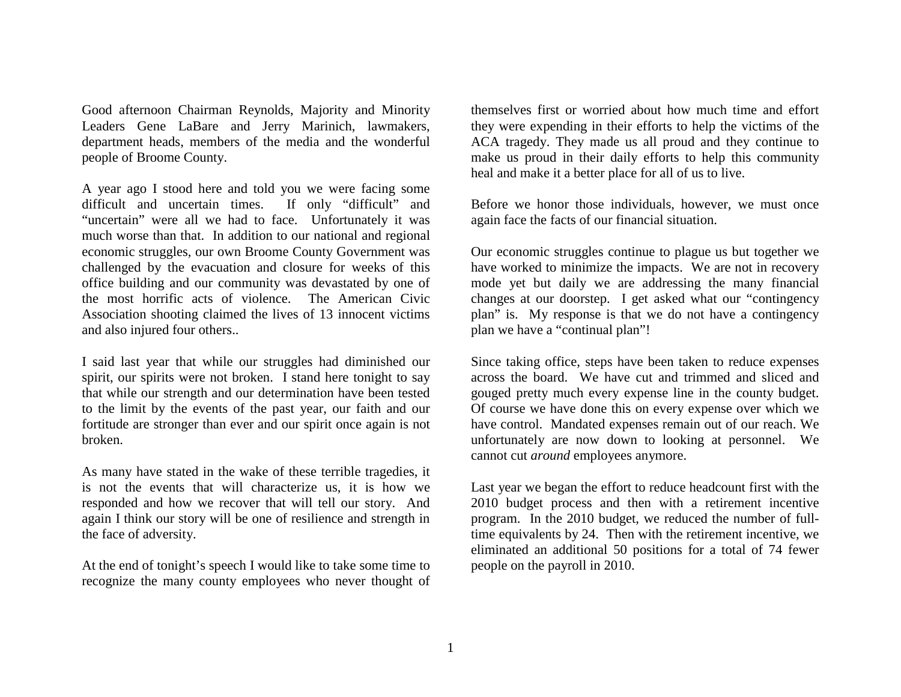Good afternoon Chairman Reynolds, Majority and Minority Leaders Gene LaBare and Jerry Marinich, lawmakers, department heads, members of the media and the wonderful people of Broome County.

A year ago I stood here and told you we were facing some difficult and uncertain times. If only "difficult" and "uncertain" were all we had to face. Unfortunately it was much worse than that. In addition to our national and regional economic struggles, our own Broome County Government was challenged by the evacuation and closure for weeks of this office building and our community was devastated by one of the most horrific acts of violence. The American Civic Association shooting claimed the lives of 13 innocent victims and also injured four others..

I said last year that while our struggles had diminished our spirit, our spirits were not broken. I stand here tonight to say that while our strength and our determination have been tested to the limit by the events of the past year, our faith and our fortitude are stronger than ever and our spirit once again is not broken.

As many have stated in the wake of these terrible tragedies, it is not the events that will characterize us, it is how we responded and how we recover that will tell our story. And again I think our story will be one of resilience and strength in the face of adversity.

At the end of tonight's speech I would like to take some time to recognize the many county employees who never thought of

themselves first or worried about how much time and effort they were expending in their efforts to help the victims of the ACA tragedy. They made us all proud and they continue to make us proud in their daily efforts to help this community heal and make it a better place for all of us to live.

Before we honor those individuals, however, we must once again face the facts of our financial situation.

Our economic struggles continue to plague us but together we have worked to minimize the impacts. We are not in recovery mode yet but daily we are addressing the many financial changes at our doorstep. I get asked what our "contingency plan" is. My response is that we do not have a contingency plan we have a "continual plan"!

Since taking office, steps have been taken to reduce expenses across the board. We have cut and trimmed and sliced and gouged pretty much every expense line in the county budget. Of course we have done this on every expense over which we have control. Mandated expenses remain out of our reach. We unfortunately are now down to looking at personnel. We cannot cut *around* employees anymore.

Last year we began the effort to reduce headcount first with the 2010 budget process and then with a retirement incentive program. In the 2010 budget, we reduced the number of fulltime equivalents by 24. Then with the retirement incentive, we eliminated an additional 50 positions for a total of 74 fewer people on the payroll in 2010.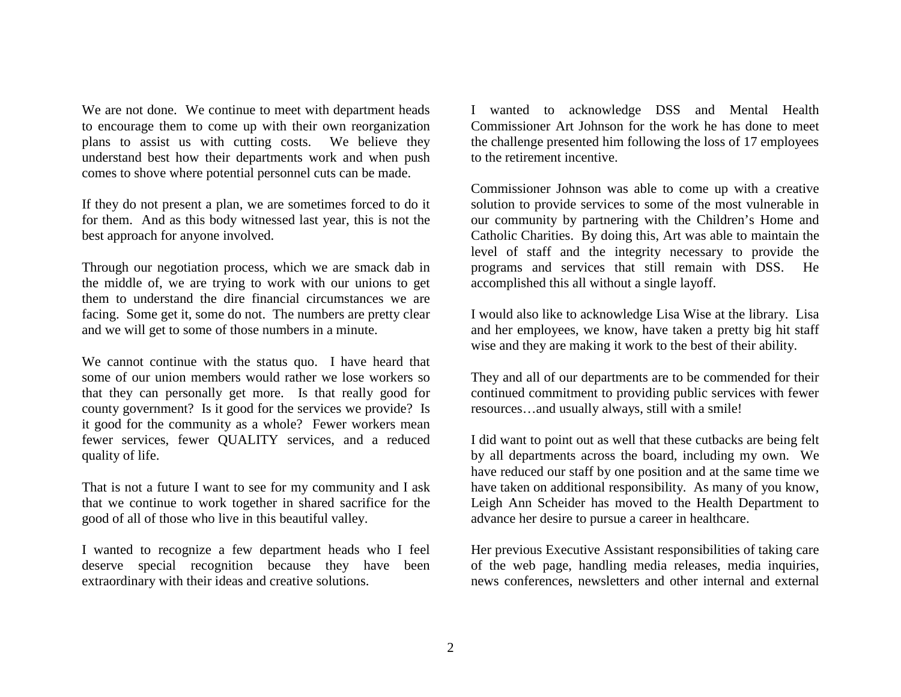We are not done. We continue to meet with department heads to encourage them to come up with their own reorganization plans to assist us with cutting costs. We believe they understand best how their departments work and when push comes to shove where potential personnel cuts can be made.

If they do not present a plan, we are sometimes forced to do it for them. And as this body witnessed last year, this is not the best approach for anyone involved.

Through our negotiation process, which we are smack dab in the middle of, we are trying to work with our unions to get them to understand the dire financial circumstances we are facing. Some get it, some do not. The numbers are pretty clear and we will get to some of those numbers in a minute.

We cannot continue with the status quo. I have heard that some of our union members would rather we lose workers so that they can personally get more. Is that really good for county government? Is it good for the services we provide? Is it good for the community as a whole? Fewer workers mean fewer services, fewer QUALITY services, and a reduced quality of life.

That is not a future I want to see for my community and I ask that we continue to work together in shared sacrifice for the good of all of those who live in this beautiful valley.

I wanted to recognize a few department heads who I feel deserve special recognition because they have been extraordinary with their ideas and creative solutions.

I wanted to acknowledge DSS and Mental Health Commissioner Art Johnson for the work he has done to meet the challenge presented him following the loss of 17 employees to the retirement incentive.

Commissioner Johnson was able to come up with a creative solution to provide services to some of the most vulnerable in our community by partnering with the Children's Home and Catholic Charities. By doing this, Art was able to maintain the level of staff and the integrity necessary to provide the programs and services that still remain with DSS. He accomplished this all without a single layoff.

I would also like to acknowledge Lisa Wise at the library. Lisa and her employees, we know, have taken a pretty big hit staff wise and they are making it work to the best of their ability.

They and all of our departments are to be commended for their continued commitment to providing public services with fewer resources…and usually always, still with a smile!

I did want to point out as well that these cutbacks are being felt by all departments across the board, including my own. We have reduced our staff by one position and at the same time we have taken on additional responsibility. As many of you know, Leigh Ann Scheider has moved to the Health Department to advance her desire to pursue a career in healthcare.

Her previous Executive Assistant responsibilities of taking care of the web page, handling media releases, media inquiries, news conferences, newsletters and other internal and external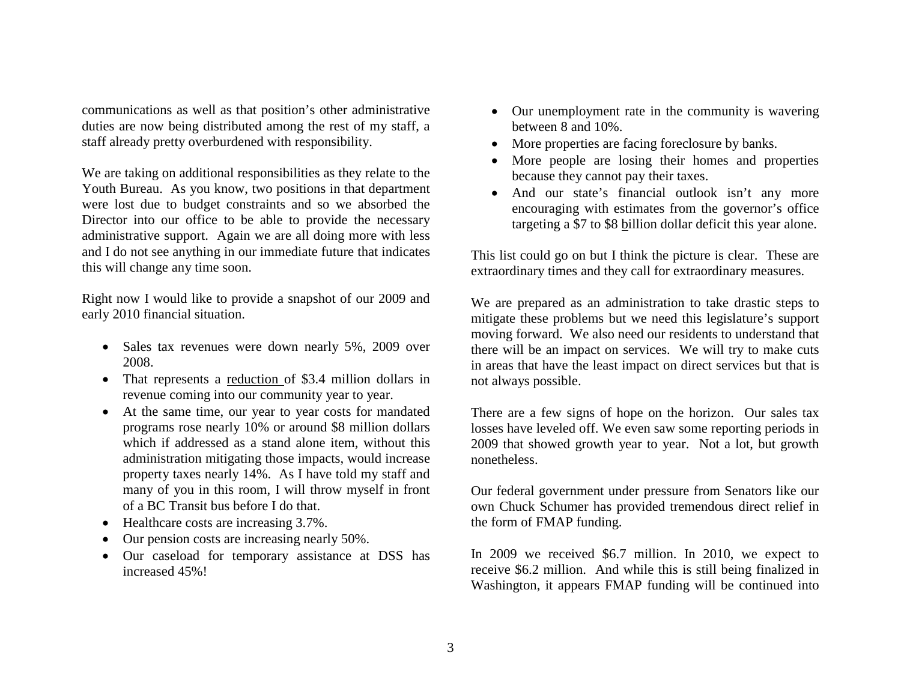communications as well as that position's other administrative duties are now being distributed among the rest of my staff, a staff already pretty overburdened with responsibility.

We are taking on additional responsibilities as they relate to the Youth Bureau. As you know, two positions in that department were lost due to budget constraints and so we absorbed the Director into our office to be able to provide the necessary administrative support. Again we are all doing more with less and I do not see anything in our immediate future that indicates this will change any time soon.

Right now I would like to provide a snapshot of our 2009 and early 2010 financial situation.

- Sales tax revenues were down nearly 5%, 2009 over 2008.
- That represents a <u>reduction of</u> \$3.4 million dollars in revenue coming into our community year to year.
- At the same time, our year to year costs for mandated programs rose nearly 10% or around \$8 million dollars which if addressed as a stand alone item, without this administration mitigating those impacts, would increase property taxes nearly 14%. As I have told my staff and many of you in this room, I will throw myself in front of a BC Transit bus before I do that.
- $\bullet$ Healthcare costs are increasing 3.7%.
- $\bullet$ Our pension costs are increasing nearly 50%.
- Our caseload for temporary assistance at DSS has increased 45%!
- Our unemployment rate in the community is wavering between 8 and 10%.
- More properties are facing foreclosure by banks.
- 0 More people are losing their homes and properties because they cannot pay their taxes.
- And our state's financial outlook isn't any more encouraging with estimates from the governor's office targeting a \$7 to \$8 billion dollar deficit this year alone.

This list could go on but I think the picture is clear. These are extraordinary times and they call for extraordinary measures.

We are prepared as an administration to take drastic steps to mitigate these problems but we need this legislature's support moving forward. We also need our residents to understand that there will be an impact on services. We will try to make cuts in areas that have the least impact on direct services but that is not always possible.

There are a few signs of hope on the horizon. Our sales tax losses have leveled off. We even saw some reporting periods in 2009 that showed growth year to year. Not a lot, but growth nonetheless.

Our federal government under pressure from Senators like our own Chuck Schumer has provided tremendous direct relief in the form of FMAP funding.

In 2009 we received \$6.7 million. In 2010, we expect to receive \$6.2 million. And while this is still being finalized in Washington, it appears FMAP funding will be continued into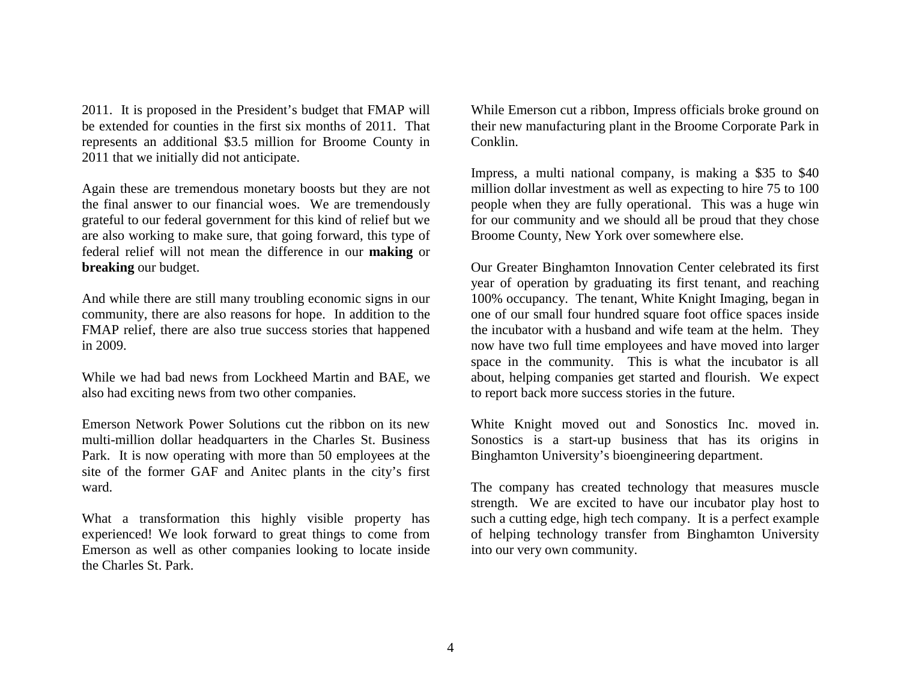2011. It is proposed in the President's budget that FMAP will be extended for counties in the first six months of 2011. That represents an additional \$3.5 million for Broome County in 2011 that we initially did not anticipate.

Again these are tremendous monetary boosts but they are not the final answer to our financial woes. We are tremendously grateful to our federal government for this kind of relief but we are also working to make sure, that going forward, this type of federal relief will not mean the difference in our **making** or **breaking** our budget.

And while there are still many troubling economic signs in our community, there are also reasons for hope. In addition to the FMAP relief, there are also true success stories that happened in 2009.

While we had bad news from Lockheed Martin and BAE, we also had exciting news from two other companies.

Emerson Network Power Solutions cut the ribbon on its new multi-million dollar headquarters in the Charles St. Business Park. It is now operating with more than 50 employees at the site of the former GAF and Anitec plants in the city's first ward.

What a transformation this highly visible property has experienced! We look forward to great things to come from Emerson as well as other companies looking to locate inside the Charles St. Park.

While Emerson cut a ribbon, Impress officials broke ground on their new manufacturing plant in the Broome Corporate Park in Conklin.

Impress, a multi national company, is making a \$35 to \$40 million dollar investment as well as expecting to hire 75 to 100 people when they are fully operational. This was a huge win for our community and we should all be proud that they chose Broome County, New York over somewhere else.

Our Greater Binghamton Innovation Center celebrated its first year of operation by graduating its first tenant, and reaching 100% occupancy. The tenant, White Knight Imaging, began in one of our small four hundred square foot office spaces inside the incubator with a husband and wife team at the helm. They now have two full time employees and have moved into larger space in the community. This is what the incubator is all about, helping companies get started and flourish. We expect to report back more success stories in the future.

White Knight moved out and Sonostics Inc. moved in. Sonostics is a start-up business that has its origins in Binghamton University's bioengineering department.

The company has created technology that measures muscle strength. We are excited to have our incubator play host to such a cutting edge, high tech company. It is a perfect example of helping technology transfer from Binghamton University into our very own community.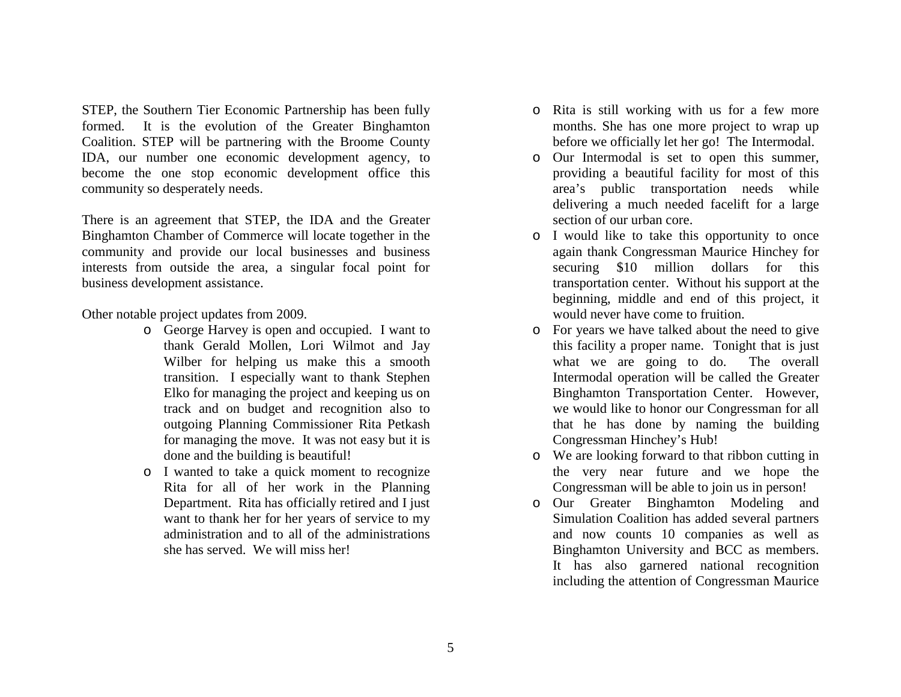STEP, the Southern Tier Economic Partnership has been fully formed. It is the evolution of the Greater Binghamton Coalition. STEP will be partnering with the Broome County IDA, our number one economic development agency, to become the one stop economic development office this community so desperately needs.

There is an agreement that STEP, the IDA and the Greater Binghamton Chamber of Commerce will locate together in the community and provide our local businesses and business interests from outside the area, a singular focal point for business development assistance.

Other notable project updates from 2009.

- o George Harvey is open and occupied. I want to thank Gerald Mollen, Lori Wilmot and Jay Wilber for helping us make this a smooth transition. I especially want to thank Stephen Elko for managing the project and keeping us on track and on budget and recognition also to outgoing Planning Commissioner Rita Petkash for managing the move. It was not easy but it is done and the building is beautiful!
- o I wanted to take a quick moment to recognize Rita for all of her work in the Planning Department. Rita has officially retired and I just want to thank her for her years of service to my administration and to all of the administrations she has served. We will miss her!
- o Rita is still working with us for a few more months. She has one more project to wrap up before we officially let her go! The Intermodal.
- o Our Intermodal is set to open this summer, providing a beautiful facility for most of this area's public transportation needs while delivering a much needed facelift for a large section of our urban core.
- o I would like to take this opportunity to once again thank Congressman Maurice Hinchey for securing \$10 million dollars for this transportation center. Without his support at the beginning, middle and end of this project, it would never have come to fruition.
- o For years we have talked about the need to give this facility a proper name. Tonight that is just what we are going to do. The overall Intermodal operation will be called the Greater Binghamton Transportation Center. However, we would like to honor our Congressman for all that he has done by naming the building Congressman Hinchey's Hub!
- o We are looking forward to that ribbon cutting in the very near future and we hope the Congressman will be able to join us in person!
- o Our Greater Binghamton Modeling and Simulation Coalition has added several partners and now counts 10 companies as well as Binghamton University and BCC as members. It has also garnered national recognition including the attention of Congressman Maurice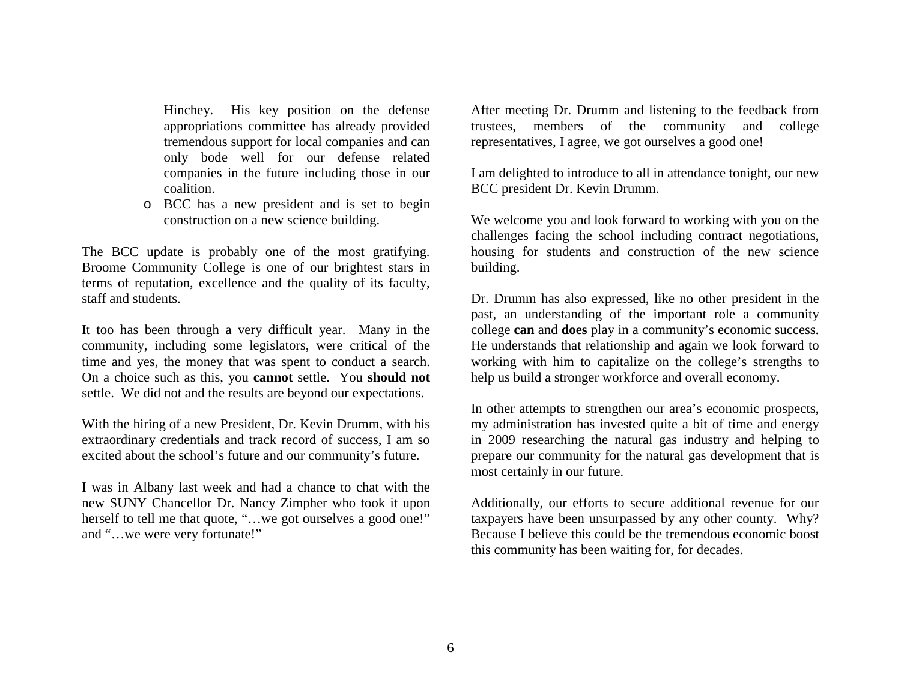Hinchey. His key position on the defense appropriations committee has already provided tremendous support for local companies and can only bode well for our defense related companies in the future including those in our coalition.

o BCC has a new president and is set to begin construction on a new science building.

The BCC update is probably one of the most gratifying. Broome Community College is one of our brightest stars in terms of reputation, excellence and the quality of its faculty, staff and students.

It too has been through a very difficult year. Many in the community, including some legislators, were critical of the time and yes, the money that was spent to conduct a search. On a choice such as this, you **cannot** settle. You **should not** settle. We did not and the results are beyond our expectations.

With the hiring of a new President, Dr. Kevin Drumm, with his extraordinary credentials and track record of success, I am so excited about the school's future and our community's future.

I was in Albany last week and had a chance to chat with the new SUNY Chancellor Dr. Nancy Zimpher who took it upon herself to tell me that quote, "...we got ourselves a good one!" and "…we were very fortunate!"

After meeting Dr. Drumm and listening to the feedback from trustees, members of the community and college representatives, I agree, we got ourselves a good one!

I am delighted to introduce to all in attendance tonight, our new BCC president Dr. Kevin Drumm.

We welcome you and look forward to working with you on the challenges facing the school including contract negotiations, housing for students and construction of the new science building.

Dr. Drumm has also expressed, like no other president in the past, an understanding of the important role a community college **can** and **does** play in a community's economic success. He understands that relationship and again we look forward to working with him to capitalize on the college's strengths to help us build a stronger workforce and overall economy.

In other attempts to strengthen our area's economic prospects, my administration has invested quite a bit of time and energy in 2009 researching the natural gas industry and helping to prepare our community for the natural gas development that is most certainly in our future.

Additionally, our efforts to secure additional revenue for our taxpayers have been unsurpassed by any other county. Why? Because I believe this could be the tremendous economic boost this community has been waiting for, for decades.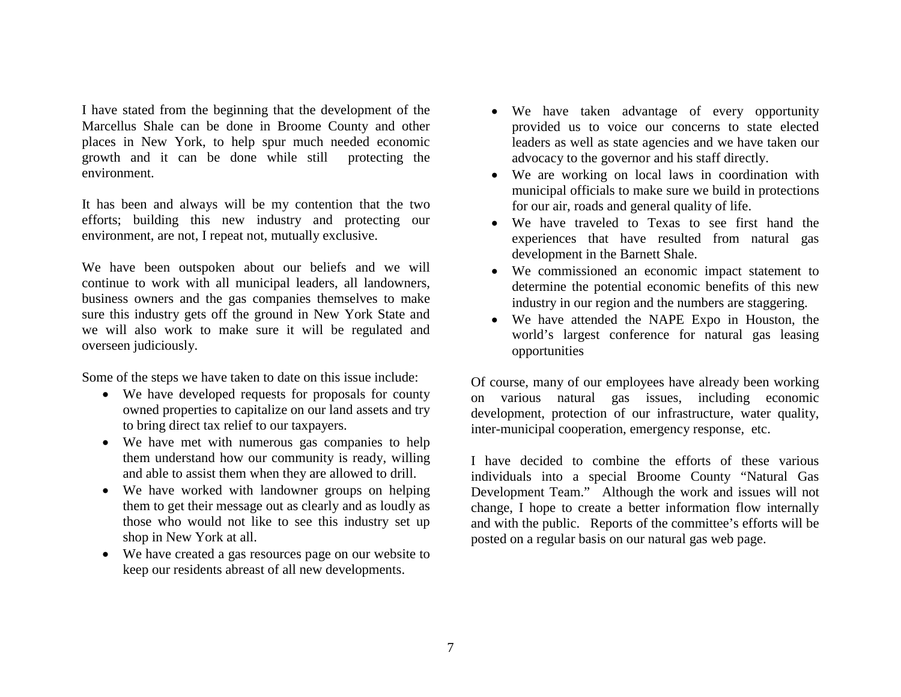I have stated from the beginning that the development of the Marcellus Shale can be done in Broome County and other places in New York, to help spur much needed economic growth and it can be done while still protecting the environment.

It has been and always will be my contention that the two efforts; building this new industry and protecting our environment, are not, I repeat not, mutually exclusive.

We have been outspoken about our beliefs and we will continue to work with all municipal leaders, all landowners, business owners and the gas companies themselves to make sure this industry gets off the ground in New York State and we will also work to make sure it will be regulated and overseen judiciously.

Some of the steps we have taken to date on this issue include:

- We have developed requests for proposals for county owned properties to capitalize on our land assets and try to bring direct tax relief to our taxpayers.
- We have met with numerous gas companies to help them understand how our community is ready, willing and able to assist them when they are allowed to drill.
- We have worked with landowner groups on helping them to get their message out as clearly and as loudly as those who would not like to see this industry set up shop in New York at all.
- We have created a gas resources page on our website to keep our residents abreast of all new developments.
- We have taken advantage of every opportunity provided us to voice our concerns to state elected leaders as well as state agencies and we have taken our advocacy to the governor and his staff directly.
- We are working on local laws in coordination with municipal officials to make sure we build in protections for our air, roads and general quality of life.
- We have traveled to Texas to see first hand the experiences that have resulted from natural gas development in the Barnett Shale.
- We commissioned an economic impact statement to determine the potential economic benefits of this new industry in our region and the numbers are staggering.
- We have attended the NAPE Expo in Houston, the world's largest conference for natural gas leasing opportunities

Of course, many of our employees have already been working on various natural gas issues, including economic development, protection of our infrastructure, water quality, inter-municipal cooperation, emergency response, etc.

I have decided to combine the efforts of these various individuals into a special Broome County "Natural Gas Development Team." Although the work and issues will not change, I hope to create a better information flow internally and with the public. Reports of the committee's efforts will be posted on a regular basis on our natural gas web page.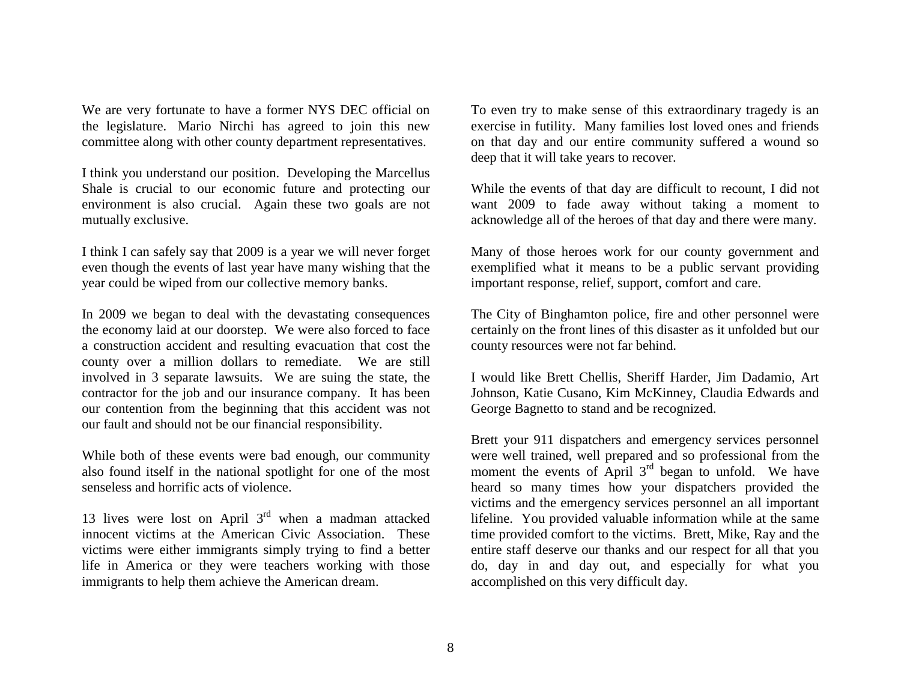We are very fortunate to have a former NYS DEC official on the legislature. Mario Nirchi has agreed to join this new committee along with other county department representatives.

I think you understand our position. Developing the Marcellus Shale is crucial to our economic future and protecting our environment is also crucial. Again these two goals are not mutually exclusive.

I think I can safely say that 2009 is a year we will never forget even though the events of last year have many wishing that the year could be wiped from our collective memory banks.

In 2009 we began to deal with the devastating consequences the economy laid at our doorstep. We were also forced to face a construction accident and resulting evacuation that cost the county over a million dollars to remediate. We are still involved in 3 separate lawsuits. We are suing the state, the contractor for the job and our insurance company. It has been our contention from the beginning that this accident was not our fault and should not be our financial responsibility.

While both of these events were bad enough, our community also found itself in the national spotlight for one of the most senseless and horrific acts of violence.

13 lives were lost on April  $3<sup>rd</sup>$  when a madman attacked innocent victims at the American Civic Association. These victims were either immigrants simply trying to find a better life in America or they were teachers working with those immigrants to help them achieve the American dream.

To even try to make sense of this extraordinary tragedy is an exercise in futility. Many families lost loved ones and friends on that day and our entire community suffered a wound so deep that it will take years to recover.

While the events of that day are difficult to recount, I did not want 2009 to fade away without taking a moment to acknowledge all of the heroes of that day and there were many.

Many of those heroes work for our county government and exemplified what it means to be a public servant providing important response, relief, support, comfort and care.

The City of Binghamton police, fire and other personnel were certainly on the front lines of this disaster as it unfolded but our county resources were not far behind.

I would like Brett Chellis, Sheriff Harder, Jim Dadamio, Art Johnson, Katie Cusano, Kim McKinney, Claudia Edwards and George Bagnetto to stand and be recognized.

Brett your 911 dispatchers and emergency services personnel were well trained, well prepared and so professional from the moment the events of April  $3<sup>rd</sup>$  began to unfold. We have heard so many times how your dispatchers provided the victims and the emergency services personnel an all important lifeline. You provided valuable information while at the same time provided comfort to the victims. Brett, Mike, Ray and the entire staff deserve our thanks and our respect for all that you do, day in and day out, and especially for what you accomplished on this very difficult day.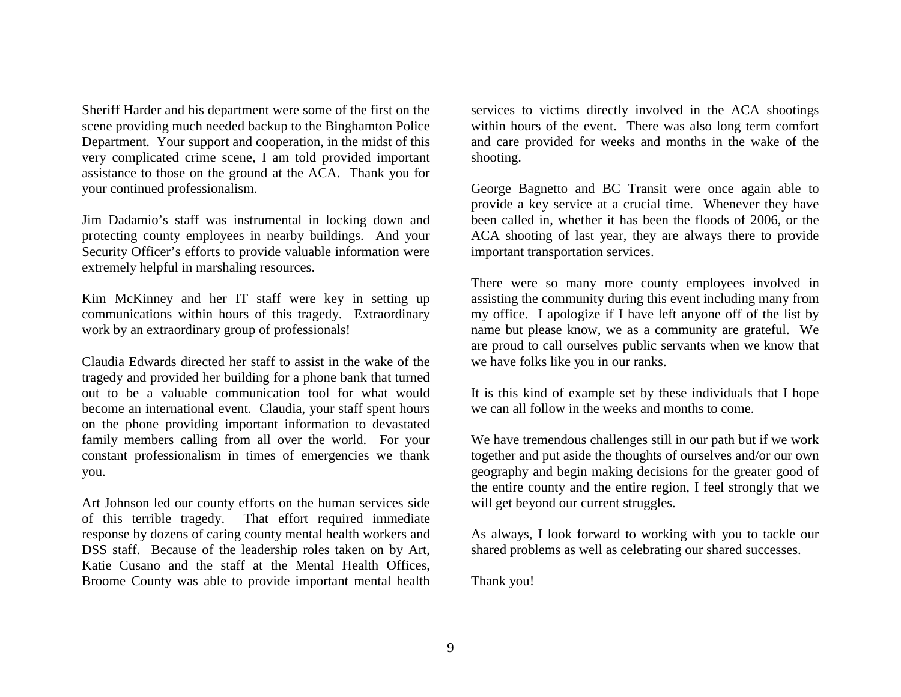Sheriff Harder and his department were some of the first on the scene providing much needed backup to the Binghamton Police Department. Your support and cooperation, in the midst of this very complicated crime scene, I am told provided important assistance to those on the ground at the ACA. Thank you for your continued professionalism.

Jim Dadamio's staff was instrumental in locking down and protecting county employees in nearby buildings. And your Security Officer's efforts to provide valuable information were extremely helpful in marshaling resources.

Kim McKinney and her IT staff were key in setting up communications within hours of this tragedy. Extraordinary work by an extraordinary group of professionals!

Claudia Edwards directed her staff to assist in the wake of the tragedy and provided her building for a phone bank that turned out to be a valuable communication tool for what would become an international event. Claudia, your staff spent hours on the phone providing important information to devastated family members calling from all over the world. For your constant professionalism in times of emergencies we thank you.

Art Johnson led our county efforts on the human services side of this terrible tragedy. That effort required immediate response by dozens of caring county mental health workers and DSS staff. Because of the leadership roles taken on by Art, Katie Cusano and the staff at the Mental Health Offices, Broome County was able to provide important mental health services to victims directly involved in the ACA shootings within hours of the event. There was also long term comfort and care provided for weeks and months in the wake of the shooting.

George Bagnetto and BC Transit were once again able to provide a key service at a crucial time. Whenever they have been called in, whether it has been the floods of 2006, or the ACA shooting of last year, they are always there to provide important transportation services.

There were so many more county employees involved in assisting the community during this event including many from my office. I apologize if I have left anyone off of the list by name but please know, we as a community are grateful. We are proud to call ourselves public servants when we know that we have folks like you in our ranks.

It is this kind of example set by these individuals that I hope we can all follow in the weeks and months to come.

We have tremendous challenges still in our path but if we work together and put aside the thoughts of ourselves and/or our own geography and begin making decisions for the greater good of the entire county and the entire region, I feel strongly that we will get beyond our current struggles.

As always, I look forward to working with you to tackle our shared problems as well as celebrating our shared successes.

Thank you!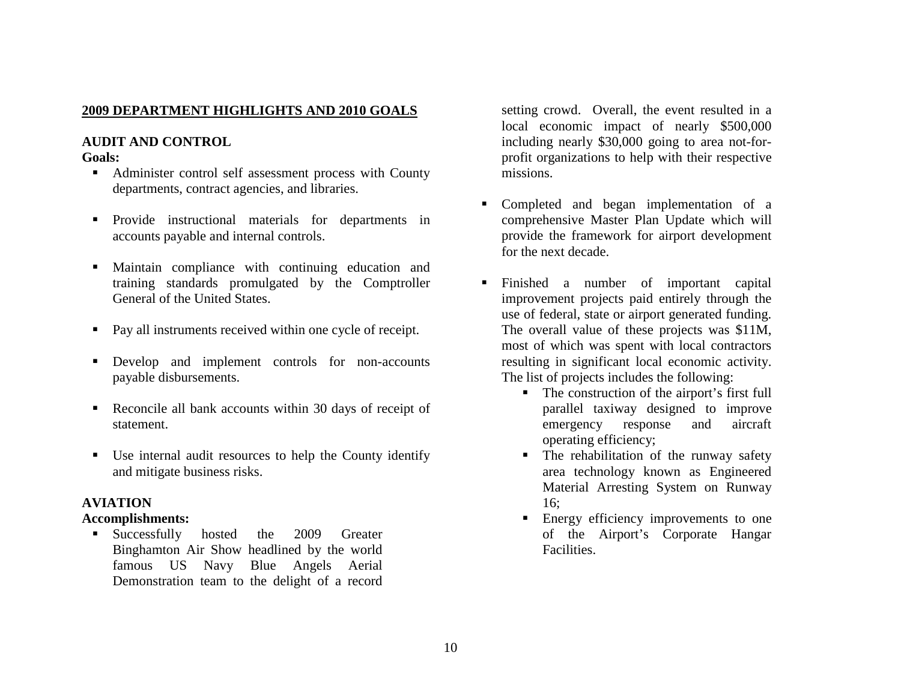## **2009 DEPARTMENT HIGHLIGHTS AND 2010 GOALS**

# **AUDIT AND CONTROL**

#### **Goals:**

- Administer control self assessment process with County departments, contract agencies, and libraries.
- **Provide instructional materials for departments in** accounts payable and internal controls.
- Maintain compliance with continuing education and training standards promulgated by the Comptroller General of the United States.
- Pay all instruments received within one cycle of receipt.
- **Develop** and implement controls for non-accounts payable disbursements.
- Reconcile all bank accounts within 30 days of receipt of statement.
- Use internal audit resources to help the County identify and mitigate business risks.

## **AVIATION**

## **Accomplishments:**

**Successfully** hosted the 2009 Greater Binghamton Air Show headlined by the world famous US Navy Blue Angels Aerial Demonstration team to the delight of a record

setting crowd. Overall, the event resulted in a local economic impact of nearly \$500,000 including nearly \$30,000 going to area not-forprofit organizations to help with their respective missions.

- Completed and began implementation of a comprehensive Master Plan Update which will provide the framework for airport development for the next decade.
- $\blacksquare$  . Finished a number of important capital improvement projects paid entirely through the use of federal, state or airport generated funding. The overall value of these projects was \$11M, most of which was spent with local contractors resulting in significant local economic activity. The list of projects includes the following:
	- The construction of the airport's first full parallel taxiway designed to improve emergency response and aircraft operating efficiency;
	- The rehabilitation of the runway safety area technology known as Engineered Material Arresting System on Runway 16;
	- **Energy efficiency improvements to one** of the Airport's Corporate Hangar Facilities.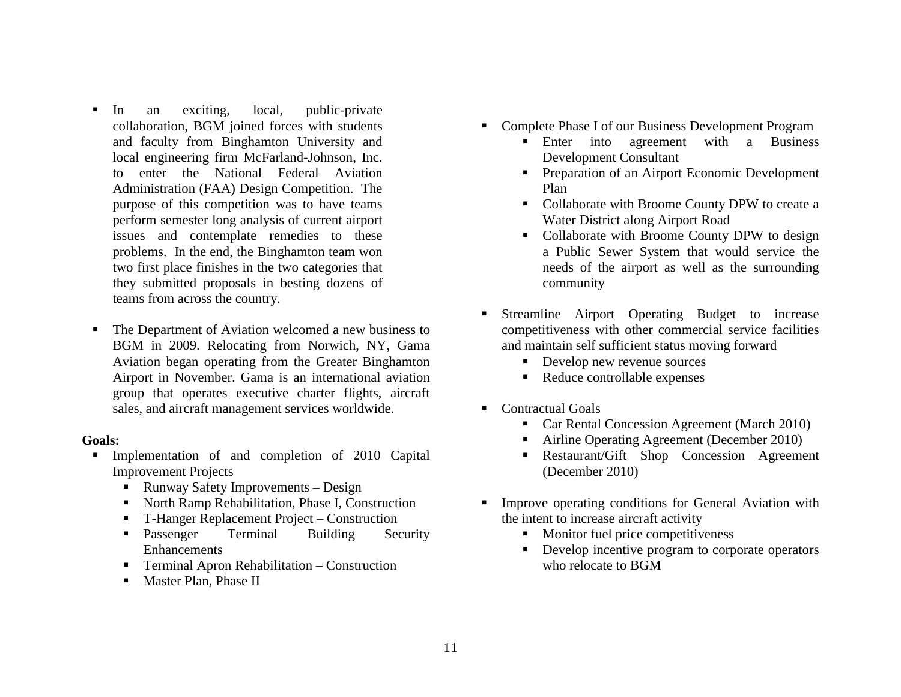- Г In an exciting, local, public-private collaboration, BGM joined forces with students and faculty from Binghamton University and local engineering firm McFarland-Johnson, Inc. to enter the National Federal Aviation Administration (FAA) Design Competition. The purpose of this competition was to have teams perform semester long analysis of current airport issues and contemplate remedies to these problems. In the end, the Binghamton team won two first place finishes in the two categories that they submitted proposals in besting dozens of teams from across the country.
- Г The Department of Aviation welcomed a new business to BGM in 2009. Relocating from Norwich, NY, Gama Aviation began operating from the Greater Binghamton Airport in November. Gama is an international aviation group that operates executive charter flights, aircraft sales, and aircraft management services worldwide.

- **Implementation of and completion of 2010 Capital** Improvement Projects
	- Runway Safety Improvements Design
	- North Ramp Rehabilitation, Phase I, Construction
	- $\blacksquare$  . T-Hanger Replacement Project – Construction
	- **•** Passenger Terminal Building Security Enhancements
	- Terminal Apron Rehabilitation Construction
	- **Master Plan, Phase II**
- Complete Phase I of our Business Development Program
	- **Enter** into agreement with a Business Development Consultant
	- **Preparation of an Airport Economic Development** Plan
	- Collaborate with Broome County DPW to create a Water District along Airport Road
	- Collaborate with Broome County DPW to design a Public Sewer System that would service the needs of the airport as well as the surrounding community
- Г Streamline Airport Operating Budget to increase competitiveness with other commercial service facilities and maintain self sufficient status moving forward
	- **Develop new revenue sources**
	- Reduce controllable expenses
- Contractual Goals
	- **Car Rental Concession Agreement (March 2010)**
	- $\blacksquare$ Airline Operating Agreement (December 2010)
	- Restaurant/Gift Shop Concession Agreement (December 2010)
- $\blacksquare$  Improve operating conditions for General Aviation with the intent to increase aircraft activity
	- **Monitor fuel price competitiveness**
	- **Develop incentive program to corporate operators** who relocate to BGM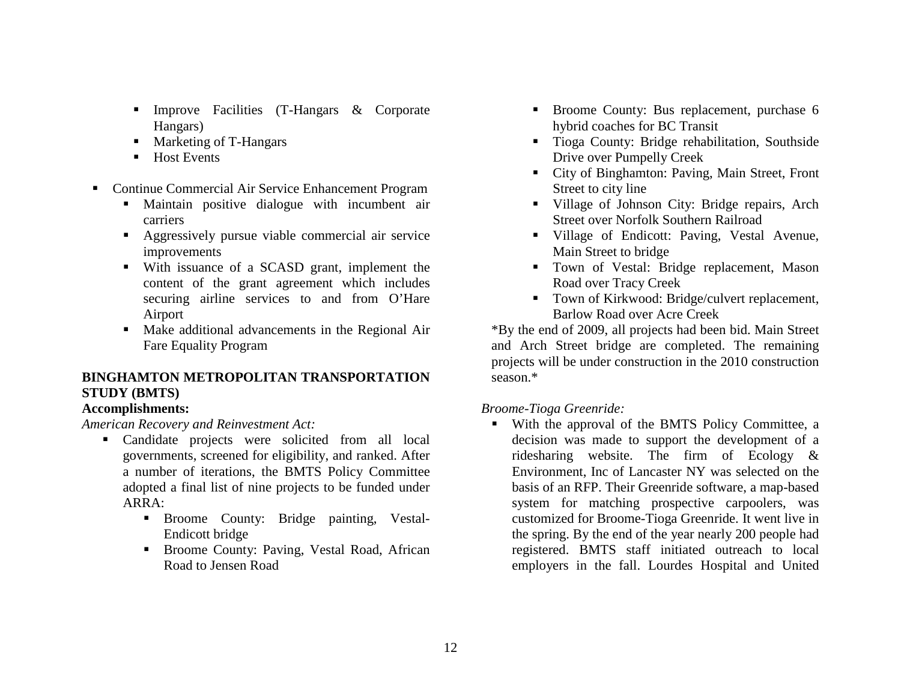- **Improve Facilities (T-Hangars & Corporate** Hangars)
- Marketing of T-Hangars
- $\blacksquare$  Host Events
- Continue Commercial Air Service Enhancement Program
	- Maintain positive dialogue with incumbent air carriers
	- Aggressively pursue viable commercial air service improvements
	- With issuance of a SCASD grant, implement the content of the grant agreement which includes securing airline services to and from O'Hare Airport
	- Make additional advancements in the Regional Air Fare Equality Program

## **BINGHAMTON METROPOLITAN TRANSPORTATION STUDY (BMTS)**

## **Accomplishments:**

*American Recovery and Reinvestment Act:* 

- Candidate projects were solicited from all local governments, screened for eligibility, and ranked. After a number of iterations, the BMTS Policy Committee adopted a final list of nine projects to be funded under ARRA:
	- Broome County: Bridge painting, Vestal-Endicott bridge
	- Broome County: Paving, Vestal Road, African Road to Jensen Road
- **Broome County: Bus replacement, purchase 6** hybrid coaches for BC Transit
- Tioga County: Bridge rehabilitation, Southside Drive over Pumpelly Creek
- City of Binghamton: Paving, Main Street, Front Street to city line
- Village of Johnson City: Bridge repairs, Arch Street over Norfolk Southern Railroad
- Village of Endicott: Paving, Vestal Avenue, Main Street to bridge
- Town of Vestal: Bridge replacement, Mason Road over Tracy Creek
- Town of Kirkwood: Bridge/culvert replacement, Barlow Road over Acre Creek

\*By the end of 2009, all projects had been bid. Main Street and Arch Street bridge are completed. The remaining projects will be under construction in the 2010 construction season.\*

## *Broome-Tioga Greenride:*

 With the approval of the BMTS Policy Committee, a decision was made to support the development of a ridesharing website. The firm of Ecology & Environment, Inc of Lancaster NY was selected on the basis of an RFP. Their Greenride software, a map-based system for matching prospective carpoolers, was customized for Broome-Tioga Greenride. It went live in the spring. By the end of the year nearly 200 people had registered. BMTS staff initiated outreach to local employers in the fall. Lourdes Hospital and United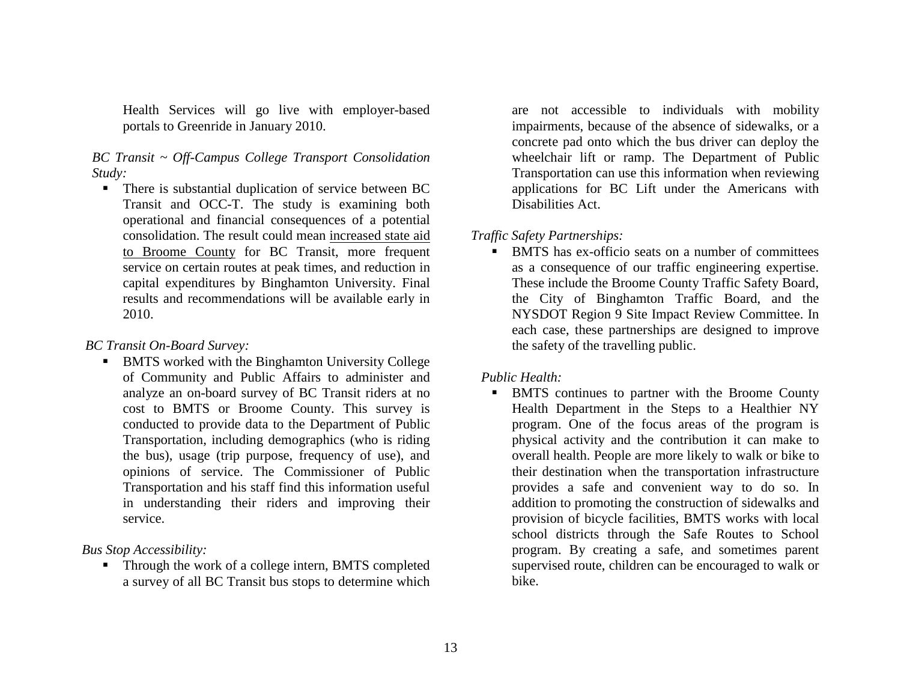Health Services will go live with employer-based portals to Greenride in January 2010.

#### *BC Transit ~ Off-Campus College Transport Consolidation Study:*

**There is substantial duplication of service between BC** Transit and OCC-T. The study is examining both operational and financial consequences of a potential consolidation. The result could mean increased state aid to Broome County for BC Transit, more frequent service on certain routes at peak times, and reduction in capital expenditures by Binghamton University. Final results and recommendations will be available early in 2010.

#### *BC Transit On-Board Survey:*

**BMTS** worked with the Binghamton University College of Community and Public Affairs to administer and analyze an on-board survey of BC Transit riders at no cost to BMTS or Broome County. This survey is conducted to provide data to the Department of Public Transportation, including demographics (who is riding the bus), usage (trip purpose, frequency of use), and opinions of service. The Commissioner of Public Transportation and his staff find this information useful in understanding their riders and improving their service.

*Bus Stop Accessibility:* 

**Through the work of a college intern, BMTS completed** a survey of all BC Transit bus stops to determine which

are not accessible to individuals with mobility impairments, because of the absence of sidewalks, or a concrete pad onto which the bus driver can deploy the wheelchair lift or ramp. The Department of Public Transportation can use this information when reviewing applications for BC Lift under the Americans with Disabilities Act.

## *Traffic Safety Partnerships:*

Г BMTS has ex-officio seats on a number of committees as a consequence of our traffic engineering expertise. These include the Broome County Traffic Safety Board, the City of Binghamton Traffic Board, and the NYSDOT Region 9 Site Impact Review Committee. In each case, these partnerships are designed to improve the safety of the travelling public.

## *Public Health:*

 $\blacksquare$  BMTS continues to partner with the Broome County Health Department in the Steps to a Healthier NY program. One of the focus areas of the program is physical activity and the contribution it can make to overall health. People are more likely to walk or bike to their destination when the transportation infrastructure provides a safe and convenient way to do so. In addition to promoting the construction of sidewalks and provision of bicycle facilities, BMTS works with local school districts through the Safe Routes to School program. By creating a safe, and sometimes parent supervised route, children can be encouraged to walk or bike.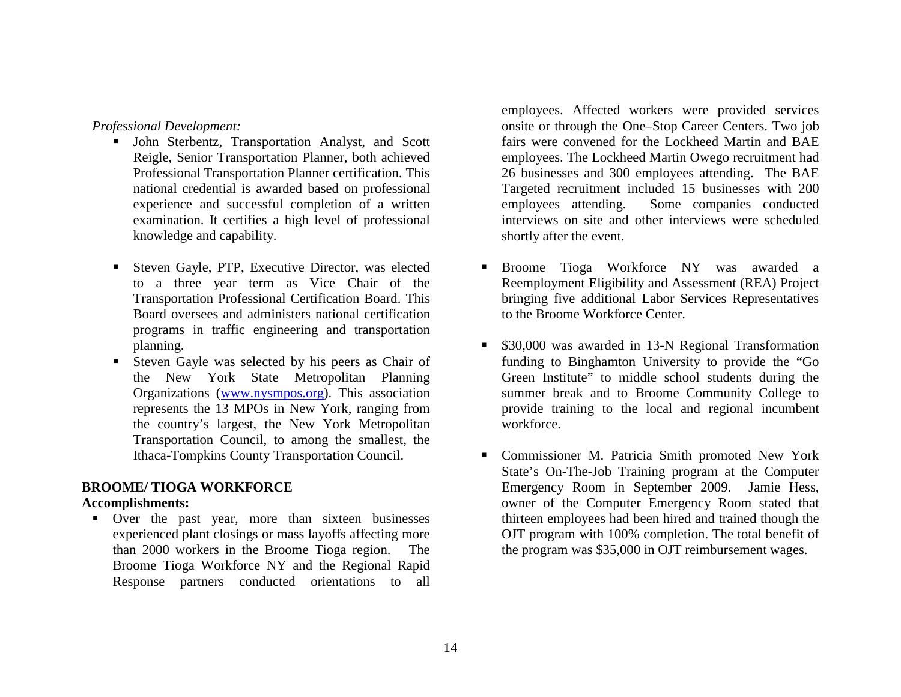*Professional Development:* 

- John Sterbentz, Transportation Analyst, and Scott Reigle, Senior Transportation Planner, both achieved Professional Transportation Planner certification. This national credential is awarded based on professional experience and successful completion of a written examination. It certifies a high level of professional knowledge and capability.
- Steven Gayle, PTP, Executive Director, was elected to a three year term as Vice Chair of the Transportation Professional Certification Board. This Board oversees and administers national certification programs in traffic engineering and transportation planning.
- Steven Gayle was selected by his peers as Chair of the New York State Metropolitan Planning Organizations ([www.nysmpos.org\)](http://www.nysmpos.org/). This association represents the 13 MPOs in New York, ranging from the country's largest, the New York Metropolitan Transportation Council, to among the smallest, the Ithaca-Tompkins County Transportation Council.

## **BROOME/ TIOGA WORKFORCE**

## **Accomplishments:**

 Over the past year, more than sixteen businesses experienced plant closings or mass layoffs affecting more than 2000 workers in the Broome Tioga region. The Broome Tioga Workforce NY and the Regional Rapid Response partners conducted orientations to all employees. Affected workers were provided services onsite or through the One–Stop Career Centers. Two job fairs were convened for the Lockheed Martin and BAE employees. The Lockheed Martin Owego recruitment had 26 businesses and 300 employees attending. The BAE Targeted recruitment included 15 businesses with 200 employees attending. Some companies conducted interviews on site and other interviews were scheduled shortly after the event.

- Г Broome Tioga Workforce NY was awarded a Reemployment Eligibility and Assessment (REA) Project bringing five additional Labor Services Representatives to the Broome Workforce Center.
- **530,000** was awarded in 13-N Regional Transformation funding to Binghamton University to provide the "Go Green Institute" to middle school students during the summer break and to Broome Community College to provide training to the local and regional incumbent workforce.
- Commissioner M. Patricia Smith promoted New York State's On-The-Job Training program at the Computer Emergency Room in September 2009. Jamie Hess, owner of the Computer Emergency Room stated that thirteen employees had been hired and trained though the OJT program with 100% completion. The total benefit of the program was \$35,000 in OJT reimbursement wages.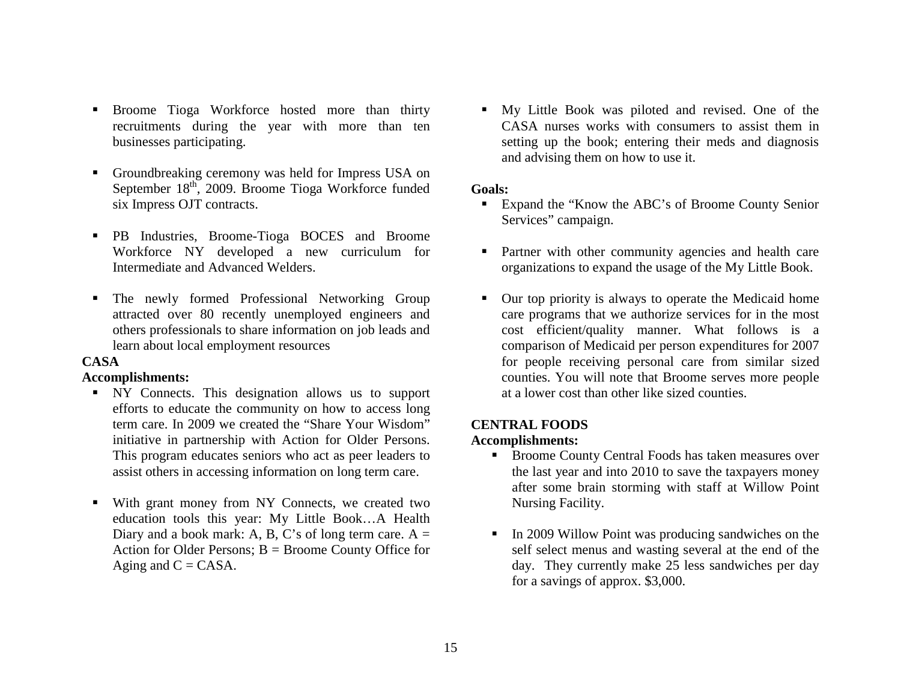- **Broome Tioga Workforce hosted more than thirty** recruitments during the year with more than ten businesses participating.
- $\blacksquare$  Groundbreaking ceremony was held for Impress USA on September  $18<sup>th</sup>$ , 2009. Broome Tioga Workforce funded six Impress OJT contracts.
- PB Industries, Broome-Tioga BOCES and Broome Workforce NY developed a new curriculum for Intermediate and Advanced Welders.
- ٠ The newly formed Professional Networking Group attracted over 80 recently unemployed engineers and others professionals to share information on job leads and learn about local employment resources

#### **CASA**

#### **Accomplishments:**

- NY Connects. This designation allows us to support efforts to educate the community on how to access long term care. In 2009 we created the "Share Your Wisdom" initiative in partnership with Action for Older Persons. This program educates seniors who act as peer leaders to assist others in accessing information on long term care.
- With grant money from NY Connects, we created two education tools this year: My Little Book…A Health Diary and a book mark: A, B, C's of long term care.  $A =$ Action for Older Persons;  $B = B$ roome County Office for Aging and  $C = CASA$ .

 My Little Book was piloted and revised. One of the CASA nurses works with consumers to assist them in setting up the book; entering their meds and diagnosis and advising them on how to use it.

#### **Goals:**

- Expand the "Know the ABC's of Broome County Senior Services" campaign.
- **Partner with other community agencies and health care** organizations to expand the usage of the My Little Book.
- Our top priority is always to operate the Medicaid home care programs that we authorize services for in the most cost efficient/quality manner. What follows is a comparison of Medicaid per person expenditures for 2007 for people receiving personal care from similar sized counties. You will note that Broome serves more people at a lower cost than other like sized counties.

## **CENTRAL FOODS**

#### **Accomplishments:**

- Broome County Central Foods has taken measures over the last year and into 2010 to save the taxpayers money after some brain storming with staff at Willow Point Nursing Facility.
- In 2009 Willow Point was producing sandwiches on the self select menus and wasting several at the end of the day. They currently make 25 less sandwiches per day for a savings of approx. \$3,000.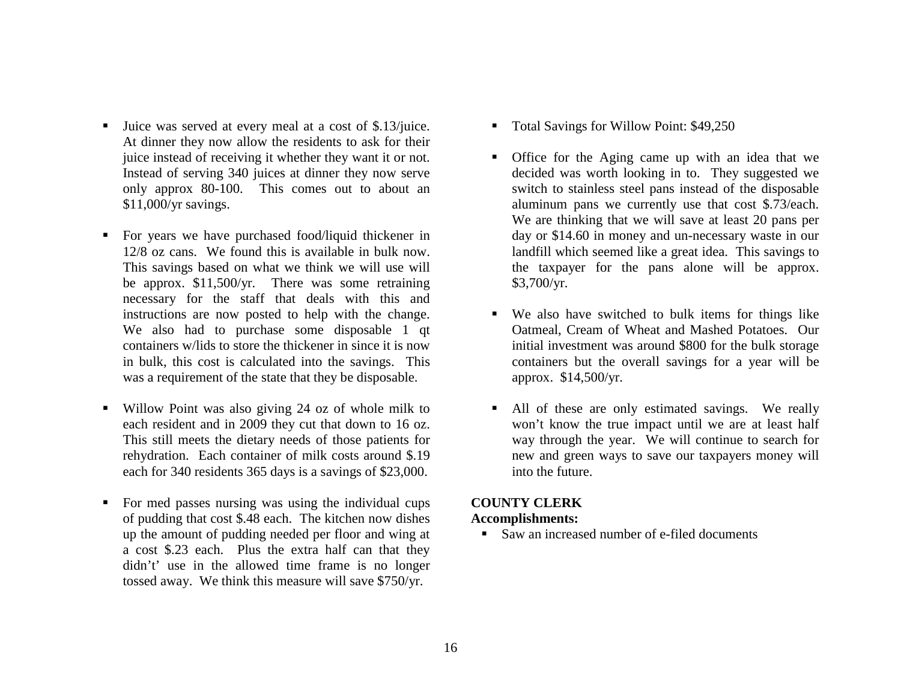- Juice was served at every meal at a cost of \$.13/juice. At dinner they now allow the residents to ask for their juice instead of receiving it whether they want it or not. Instead of serving 340 juices at dinner they now serve only approx 80-100. This comes out to about an \$11,000/yr savings.
- For years we have purchased food/liquid thickener in 12/8 oz cans. We found this is available in bulk now. This savings based on what we think we will use will be approx. \$11,500/yr. There was some retraining necessary for the staff that deals with this and instructions are now posted to help with the change. We also had to purchase some disposable 1 qt containers w/lids to store the thickener in since it is now in bulk, this cost is calculated into the savings. This was a requirement of the state that they be disposable.
- Willow Point was also giving 24 oz of whole milk to each resident and in 2009 they cut that down to 16 oz. This still meets the dietary needs of those patients for rehydration. Each container of milk costs around \$.19 each for 340 residents 365 days is a savings of \$23,000.
- $\blacksquare$  For med passes nursing was using the individual cups of pudding that cost \$.48 each. The kitchen now dishes up the amount of pudding needed per floor and wing at a cost \$.23 each. Plus the extra half can that they didn't' use in the allowed time frame is no longer tossed away. We think this measure will save \$750/yr.
- $\blacksquare$  . Total Savings for Willow Point: \$49,250
- Office for the Aging came up with an idea that we decided was worth looking in to. They suggested we switch to stainless steel pans instead of the disposable aluminum pans we currently use that cost \$.73/each. We are thinking that we will save at least 20 pans per day or \$14.60 in money and un-necessary waste in our landfill which seemed like a great idea. This savings to the taxpayer for the pans alone will be approx. \$3,700/yr.
- $\mathbf{E}^{\text{max}}$  We also have switched to bulk items for things like Oatmeal, Cream of Wheat and Mashed Potatoes. Our initial investment was around \$800 for the bulk storage containers but the overall savings for a year will be approx. \$14,500/yr.
- All of these are only estimated savings. We really won't know the true impact until we are at least half way through the year. We will continue to search for new and green ways to save our taxpayers money will into the future.

## **COUNTY CLERK**

#### **Accomplishments:**

Saw an increased number of e-filed documents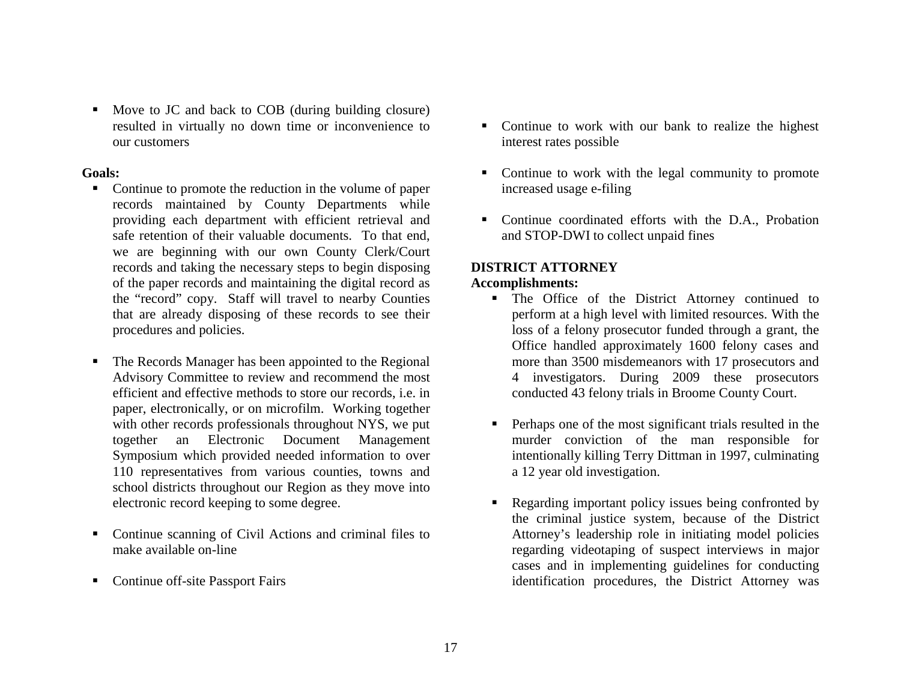• Move to JC and back to COB (during building closure) resulted in virtually no down time or inconvenience to our customers

#### **Goals:**

- Г Continue to promote the reduction in the volume of paper records maintained by County Departments while providing each department with efficient retrieval and safe retention of their valuable documents. To that end, we are beginning with our own County Clerk/Court records and taking the necessary steps to begin disposing of the paper records and maintaining the digital record as the "record" copy. Staff will travel to nearby Counties that are already disposing of these records to see their procedures and policies.
- $\blacksquare$  The Records Manager has been appointed to the Regional Advisory Committee to review and recommend the most efficient and effective methods to store our records, i.e. in paper, electronically, or on microfilm. Working together with other records professionals throughout NYS, we put together an Electronic Document Management Symposium which provided needed information to over 110 representatives from various counties, towns and school districts throughout our Region as they move into electronic record keeping to some degree.
- $\blacksquare$  Continue scanning of Civil Actions and criminal files to make available on-line
- $\blacksquare$ Continue off-site Passport Fairs
- Continue to work with our bank to realize the highest interest rates possible
- Continue to work with the legal community to promote increased usage e-filing
- Continue coordinated efforts with the D.A., Probation and STOP-DWI to collect unpaid fines

#### **DISTRICT ATTORNEY Accomplishments:**

- The Office of the District Attorney continued to perform at a high level with limited resources. With the loss of a felony prosecutor funded through a grant, the Office handled approximately 1600 felony cases and more than 3500 misdemeanors with 17 prosecutors and 4 investigators. During 2009 these prosecutors conducted 43 felony trials in Broome County Court.
- **Perhaps one of the most significant trials resulted in the** murder conviction of the man responsible for intentionally killing Terry Dittman in 1997, culminating a 12 year old investigation.
- $\blacksquare$  Regarding important policy issues being confronted by the criminal justice system, because of the District Attorney's leadership role in initiating model policies regarding videotaping of suspect interviews in major cases and in implementing guidelines for conducting identification procedures, the District Attorney was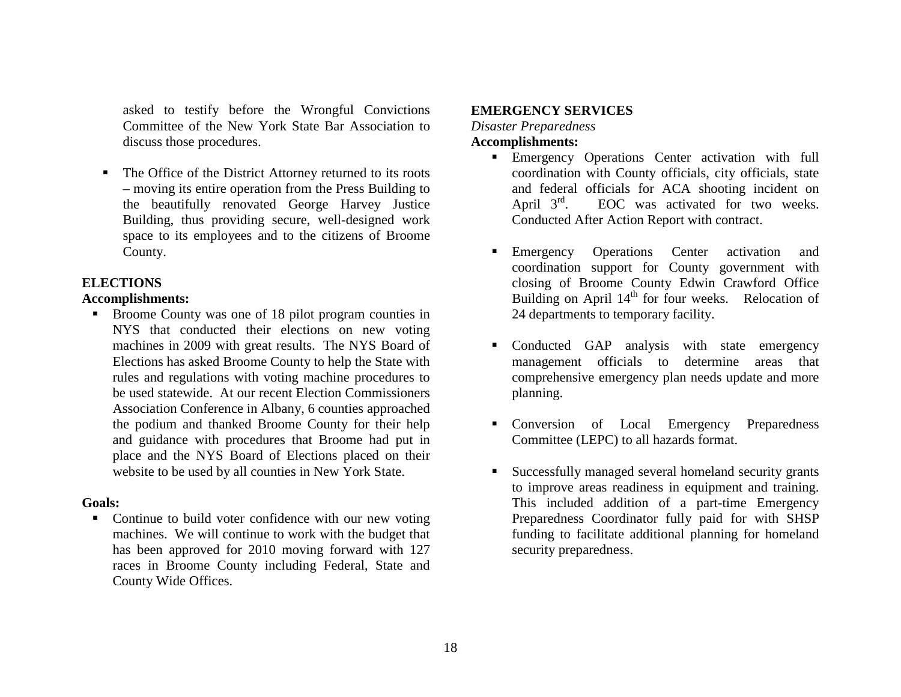asked to testify before the Wrongful Convictions Committee of the New York State Bar Association to discuss those procedures.

 $\blacksquare$  The Office of the District Attorney returned to its roots – moving its entire operation from the Press Building to the beautifully renovated George Harvey Justice Building, thus providing secure, well-designed work space to its employees and to the citizens of Broome County.

#### **ELECTIONS**

#### **Accomplishments:**

 Broome County was one of 18 pilot program counties in NYS that conducted their elections on new voting machines in 2009 with great results. The NYS Board of Elections has asked Broome County to help the State with rules and regulations with voting machine procedures to be used statewide. At our recent Election Commissioners Association Conference in Albany, 6 counties approached the podium and thanked Broome County for their help and guidance with procedures that Broome had put in place and the NYS Board of Elections placed on their website to be used by all counties in New York State.

#### **Goals:**

• Continue to build voter confidence with our new voting machines. We will continue to work with the budget that has been approved for 2010 moving forward with 127 races in Broome County including Federal, State and County Wide Offices.

#### **EMERGENCY SERVICES**

*Disaster Preparedness* 

#### **Accomplishments:**

- Emergency Operations Center activation with full coordination with County officials, city officials, state and federal officials for ACA shooting incident on April  $3<sup>rd</sup>$ . EOC was activated for two weeks. Conducted After Action Report with contract.
- **Emergency Operations Center activation and** coordination support for County government with closing of Broome County Edwin Crawford Office Building on April 14<sup>th</sup> for four weeks. Relocation of 24 departments to temporary facility.
- Conducted GAP analysis with state emergency management officials to determine areas that comprehensive emergency plan needs update and more planning.
- Conversion of Local Emergency Preparedness Committee (LEPC) to all hazards format.
- $\blacksquare$  Successfully managed several homeland security grants to improve areas readiness in equipment and training. This included addition of a part-time Emergency Preparedness Coordinator fully paid for with SHSP funding to facilitate additional planning for homeland security preparedness.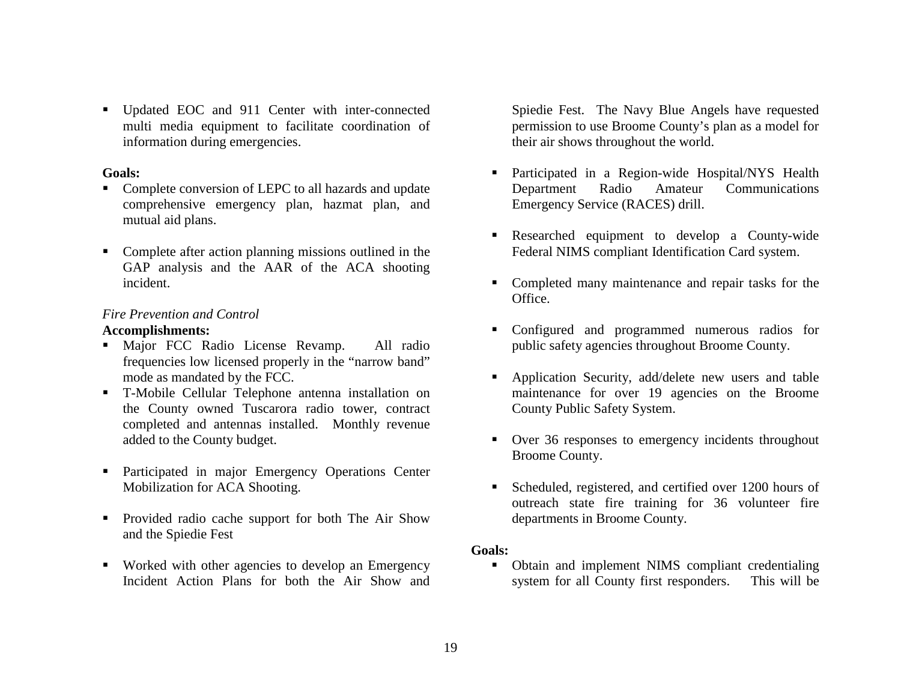Updated EOC and 911 Center with inter-connected multi media equipment to facilitate coordination of information during emergencies.

#### **Goals:**

- $\blacksquare$  Complete conversion of LEPC to all hazards and update comprehensive emergency plan, hazmat plan, and mutual aid plans.
- Complete after action planning missions outlined in the GAP analysis and the AAR of the ACA shooting incident.

## *Fire Prevention and Control*

## **Accomplishments:**

- Major FCC Radio License Revamp. All radio frequencies low licensed properly in the "narrow band" mode as mandated by the FCC.
- T-Mobile Cellular Telephone antenna installation on the County owned Tuscarora radio tower, contract completed and antennas installed. Monthly revenue added to the County budget.
- **Participated in major Emergency Operations Center** Mobilization for ACA Shooting.
- Provided radio cache support for both The Air Show and the Spiedie Fest
- Worked with other agencies to develop an Emergency Incident Action Plans for both the Air Show and

Spiedie Fest. The Navy Blue Angels have requested permission to use Broome County's plan as a model for their air shows throughout the world.

- Participated in a Region-wide Hospital/NYS Health Department Radio Amateur Communications Emergency Service (RACES) drill.
- Researched equipment to develop a County-wide Federal NIMS compliant Identification Card system.
- Completed many maintenance and repair tasks for the Office.
- Configured and programmed numerous radios for public safety agencies throughout Broome County.
- $\blacksquare$  Application Security, add/delete new users and table maintenance for over 19 agencies on the Broome County Public Safety System.
- Over 36 responses to emergency incidents throughout Broome County.
- Г Scheduled, registered, and certified over 1200 hours of outreach state fire training for 36 volunteer fire departments in Broome County.

## **Goals:**

• Obtain and implement NIMS compliant credentialing system for all County first responders. This will be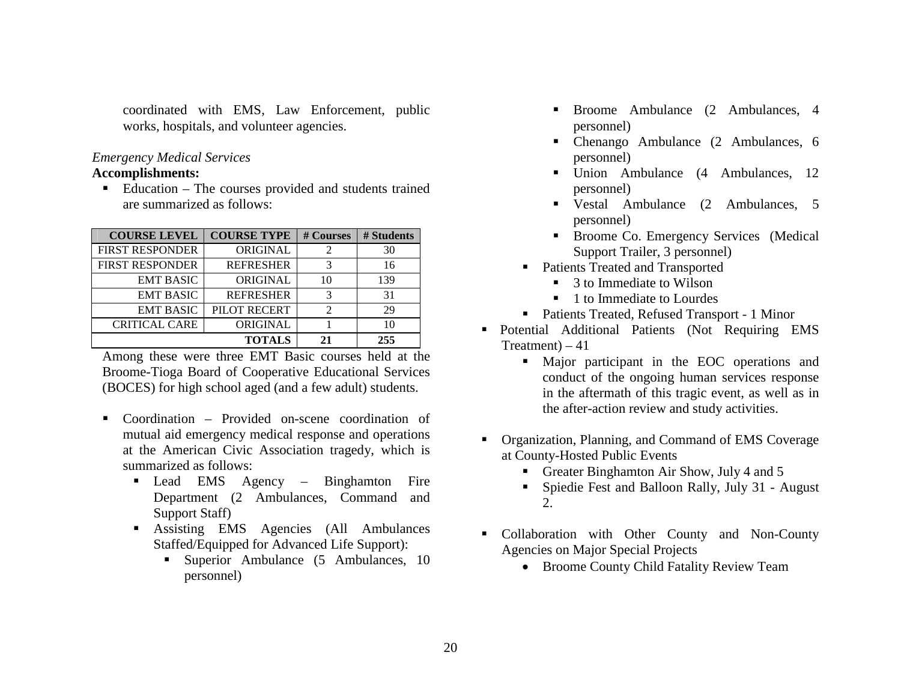coordinated with EMS, Law Enforcement, public works, hospitals, and volunteer agencies.

#### *Emergency Medical Services*

## **Accomplishments:**

■ Education – The courses provided and students trained are summarized as follows:

| <b>COURSE LEVEL</b>    | <b>COURSE TYPE</b> | # Courses      | # Students |
|------------------------|--------------------|----------------|------------|
| <b>FIRST RESPONDER</b> | <b>ORIGINAL</b>    |                | 30         |
| <b>FIRST RESPONDER</b> | <b>REFRESHER</b>   | 3              | 16         |
| <b>EMT BASIC</b>       | <b>ORIGINAL</b>    |                | 139        |
| <b>EMT BASIC</b>       | <b>REFRESHER</b>   |                | 31         |
| <b>EMT BASIC</b>       | PILOT RECERT       | $\mathfrak{D}$ | 29         |
| <b>CRITICAL CARE</b>   | ORIGINAL           |                | 10         |
| <b>TOTALS</b>          |                    |                | 255        |

Among these were three EMT Basic courses held at the Broome-Tioga Board of Cooperative Educational Services (BOCES) for high school aged (and a few adult) students.

- Coordination Provided on-scene coordination of mutual aid emergency medical response and operations at the American Civic Association tragedy, which is summarized as follows:
	- Lead EMS Agency Binghamton Fire Department (2 Ambulances, Command and Support Staff)
	- Assisting EMS Agencies (All Ambulances Staffed/Equipped for Advanced Life Support):
		- **Superior Ambulance (5 Ambulances, 10** personnel)
- $\blacksquare$  Broome Ambulance (2 Ambulances, 4 personnel)
- Chenango Ambulance (2 Ambulances, 6 personnel)
- Union Ambulance (4 Ambulances, 12 personnel)
- Vestal Ambulance (2 Ambulances, 5 personnel)
- Broome Co. Emergency Services (Medical Support Trailer, 3 personnel)
- Patients Treated and Transported
	- 3 to Immediate to Wilson
	- 1 to Immediate to Lourdes
- Patients Treated, Refused Transport 1 Minor
- Potential Additional Patients (Not Requiring EMS Treatment) – 41
	- Major participant in the EOC operations and conduct of the ongoing human services response in the aftermath of this tragic event, as well as in the after-action review and study activities.
- **Organization, Planning, and Command of EMS Coverage** at County-Hosted Public Events
	- Greater Binghamton Air Show, July 4 and 5
	- Spiedie Fest and Balloon Rally, July 31 August 2.
- Collaboration with Other County and Non-County Agencies on Major Special Projects
	- Broome County Child Fatality Review Team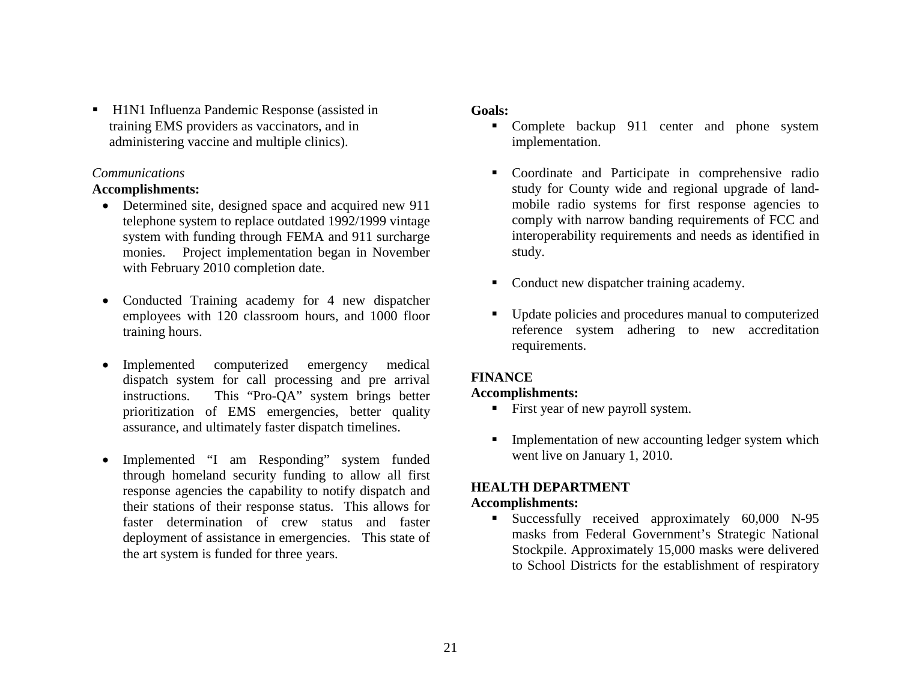■ H1N1 Influenza Pandemic Response (assisted in training EMS providers as vaccinators, and in administering vaccine and multiple clinics).

#### *Communications*

#### **Accomplishments:**

- Determined site, designed space and acquired new 911 telephone system to replace outdated 1992/1999 vintage system with funding through FEMA and 911 surcharge monies. Project implementation began in November with February 2010 completion date.
- Conducted Training academy for 4 new dispatcher employees with 120 classroom hours, and 1000 floor training hours.
- $\bullet$  Implemented computerized emergency medical dispatch system for call processing and pre arrival instructions. This "Pro-QA" system brings better prioritization of EMS emergencies, better quality assurance, and ultimately faster dispatch timelines.
- Implemented "I am Responding" system funded through homeland security funding to allow all first response agencies the capability to notify dispatch and their stations of their response status. This allows for faster determination of crew status and faster deployment of assistance in emergencies. This state of the art system is funded for three years.

#### **Goals:**

- Complete backup 911 center and phone system implementation.
- Coordinate and Participate in comprehensive radio study for County wide and regional upgrade of landmobile radio systems for first response agencies to comply with narrow banding requirements of FCC and interoperability requirements and needs as identified in study.
- Conduct new dispatcher training academy.
- Update policies and procedures manual to computerized reference system adhering to new accreditation requirements.

## **FINANCE**

#### **Accomplishments:**

- First year of new payroll system.
- $\mathbf{r}$  Implementation of new accounting ledger system which went live on January 1, 2010.

## **HEALTH DEPARTMENT**

#### **Accomplishments:**

 Successfully received approximately 60,000 N-95 masks from Federal Government's Strategic National Stockpile. Approximately 15,000 masks were delivered to School Districts for the establishment of respiratory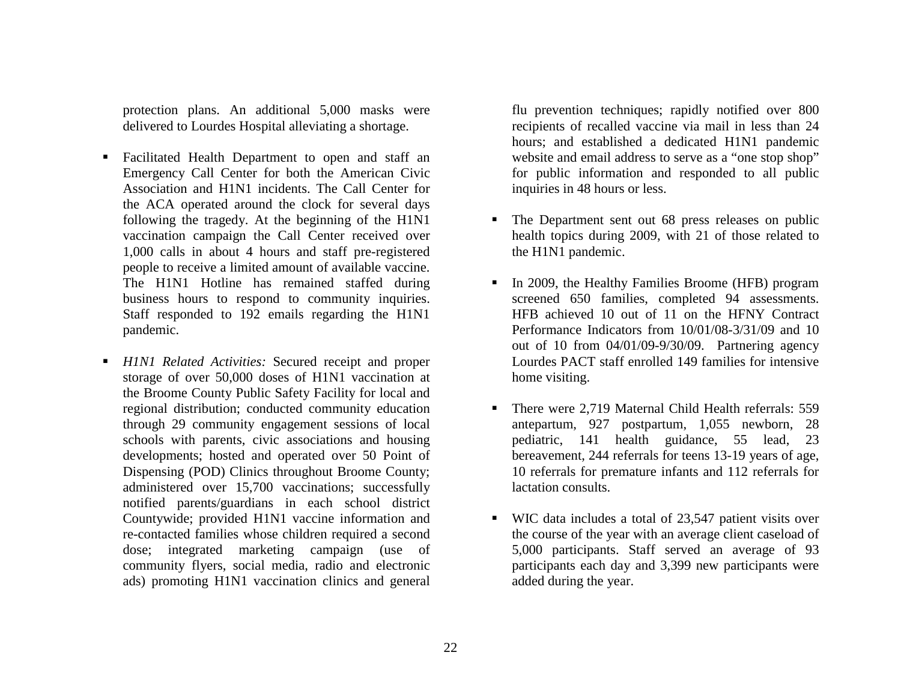protection plans. An additional 5,000 masks were delivered to Lourdes Hospital alleviating a shortage.

- $\blacksquare$  Facilitated Health Department to open and staff an Emergency Call Center for both the American Civic Association and H1N1 incidents. The Call Center for the ACA operated around the clock for several days following the tragedy. At the beginning of the H1N1 vaccination campaign the Call Center received over 1,000 calls in about 4 hours and staff pre-registered people to receive a limited amount of available vaccine. The H1N1 Hotline has remained staffed during business hours to respond to community inquiries. Staff responded to 192 emails regarding the H1N1 pandemic.
- $\blacksquare$  *H1N1 Related Activities:* Secured receipt and proper storage of over 50,000 doses of H1N1 vaccination at the Broome County Public Safety Facility for local and regional distribution; conducted community education through 29 community engagement sessions of local schools with parents, civic associations and housing developments; hosted and operated over 50 Point of Dispensing (POD) Clinics throughout Broome County; administered over 15,700 vaccinations; successfully notified parents/guardians in each school district Countywide; provided H1N1 vaccine information and re-contacted families whose children required a second dose; integrated marketing campaign (use of community flyers, social media, radio and electronic ads) promoting H1N1 vaccination clinics and general

flu prevention techniques; rapidly notified over 800 recipients of recalled vaccine via mail in less than 24 hours; and established a dedicated H1N1 pandemic website and email address to serve as a "one stop shop" for public information and responded to all public inquiries in 48 hours or less.

- Г The Department sent out 68 press releases on public health topics during 2009, with 21 of those related to the H1N1 pandemic.
- Г In 2009, the Healthy Families Broome (HFB) program screened 650 families, completed 94 assessments. HFB achieved 10 out of 11 on the HFNY Contract Performance Indicators from 10/01/08-3/31/09 and 10 out of 10 from 04/01/09-9/30/09. Partnering agency Lourdes PACT staff enrolled 149 families for intensive home visiting.
- There were 2,719 Maternal Child Health referrals: 559 antepartum, 927 postpartum, 1,055 newborn, 28 pediatric, 141 health guidance, 55 lead, 23 bereavement, 244 referrals for teens 13-19 years of age, 10 referrals for premature infants and 112 referrals for lactation consults.
- $\mathbf{E}^{\text{max}}$  WIC data includes a total of 23,547 patient visits over the course of the year with an average client caseload of 5,000 participants. Staff served an average of 93 participants each day and 3,399 new participants were added during the year.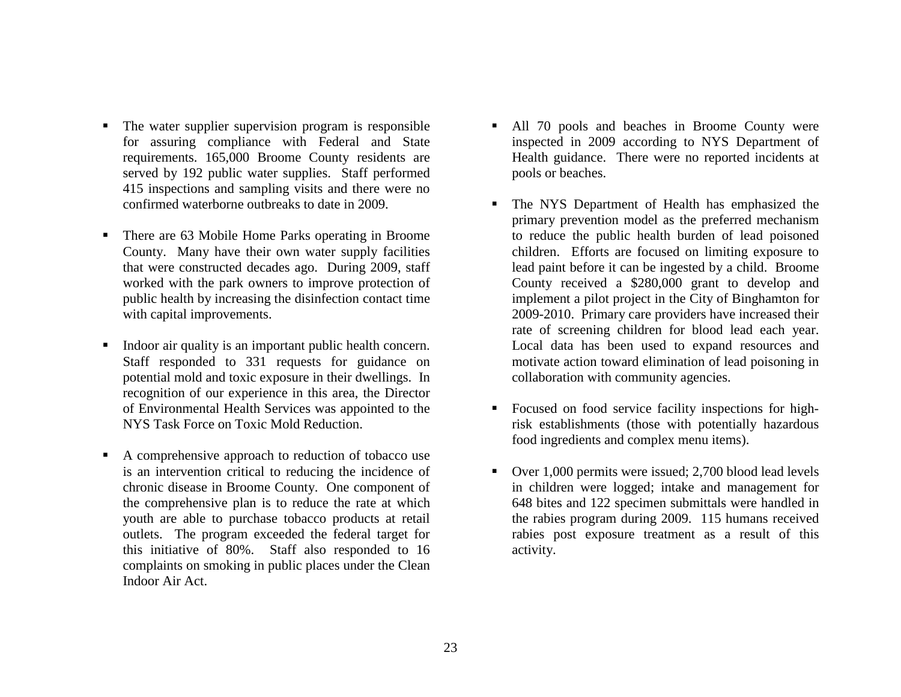- $\blacksquare$  The water supplier supervision program is responsible for assuring compliance with Federal and State requirements. 165,000 Broome County residents are served by 192 public water supplies. Staff performed 415 inspections and sampling visits and there were no confirmed waterborne outbreaks to date in 2009.
- $\blacksquare$  There are 63 Mobile Home Parks operating in Broome County. Many have their own water supply facilities that were constructed decades ago. During 2009, staff worked with the park owners to improve protection of public health by increasing the disinfection contact time with capital improvements.
- $\blacksquare$  Indoor air quality is an important public health concern. Staff responded to 331 requests for guidance on potential mold and toxic exposure in their dwellings. In recognition of our experience in this area, the Director of Environmental Health Services was appointed to the NYS Task Force on Toxic Mold Reduction.
- $\blacksquare$  A comprehensive approach to reduction of tobacco use is an intervention critical to reducing the incidence of chronic disease in Broome County. One component of the comprehensive plan is to reduce the rate at which youth are able to purchase tobacco products at retail outlets. The program exceeded the federal target for this initiative of 80%. Staff also responded to 16 complaints on smoking in public places under the Clean Indoor Air Act.
- All 70 pools and beaches in Broome County were inspected in 2009 according to NYS Department of Health guidance. There were no reported incidents at pools or beaches.
- The NYS Department of Health has emphasized the primary prevention model as the preferred mechanism to reduce the public health burden of lead poisoned children. Efforts are focused on limiting exposure to lead paint before it can be ingested by a child. Broome County received a \$280,000 grant to develop and implement a pilot project in the City of Binghamton for 2009-2010. Primary care providers have increased their rate of screening children for blood lead each year. Local data has been used to expand resources and motivate action toward elimination of lead poisoning in collaboration with community agencies.
- Focused on food service facility inspections for highrisk establishments (those with potentially hazardous food ingredients and complex menu items).
- п. Over 1,000 permits were issued; 2,700 blood lead levels in children were logged; intake and management for 648 bites and 122 specimen submittals were handled in the rabies program during 2009. 115 humans received rabies post exposure treatment as a result of this activity.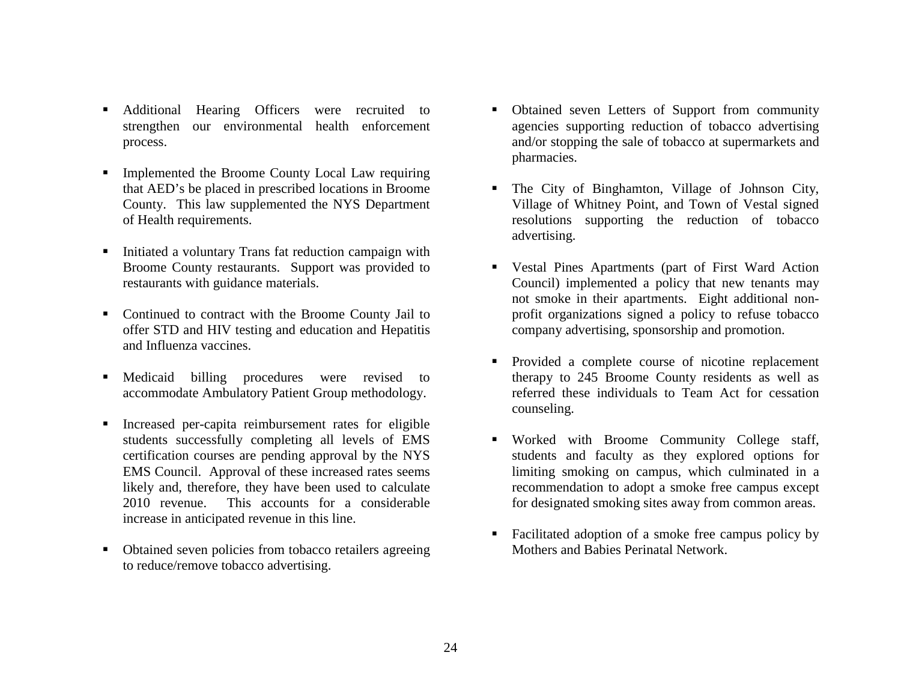- $\blacksquare$  Additional Hearing Officers were recruited to strengthen our environmental health enforcement process.
- $\blacksquare$  Implemented the Broome County Local Law requiring that AED's be placed in prescribed locations in Broome County. This law supplemented the NYS Department of Health requirements.
- $\blacksquare$  Initiated a voluntary Trans fat reduction campaign with Broome County restaurants. Support was provided to restaurants with guidance materials.
- Continued to contract with the Broome County Jail to offer STD and HIV testing and education and Hepatitis and Influenza vaccines.
- $\blacksquare$  Medicaid billing procedures were revised to accommodate Ambulatory Patient Group methodology.
- $\blacksquare$  Increased per-capita reimbursement rates for eligible students successfully completing all levels of EMS certification courses are pending approval by the NYS EMS Council. Approval of these increased rates seems likely and, therefore, they have been used to calculate 2010 revenue. This accounts for a considerable increase in anticipated revenue in this line.
- $\blacksquare$  Obtained seven policies from tobacco retailers agreeing to reduce/remove tobacco advertising.
- Г Obtained seven Letters of Support from community agencies supporting reduction of tobacco advertising and/or stopping the sale of tobacco at supermarkets and pharmacies.
- Г The City of Binghamton, Village of Johnson City, Village of Whitney Point, and Town of Vestal signed resolutions supporting the reduction of tobacco advertising.
- $\blacksquare$  . Vestal Pines Apartments (part of First Ward Action Council) implemented a policy that new tenants may not smoke in their apartments. Eight additional nonprofit organizations signed a policy to refuse tobacco company advertising, sponsorship and promotion.
- Provided a complete course of nicotine replacement therapy to 245 Broome County residents as well as referred these individuals to Team Act for cessation counseling.
- $\blacksquare$  . Worked with Broome Community College staff, students and faculty as they explored options for limiting smoking on campus, which culminated in a recommendation to adopt a smoke free campus except for designated smoking sites away from common areas.
- Facilitated adoption of a smoke free campus policy by Mothers and Babies Perinatal Network.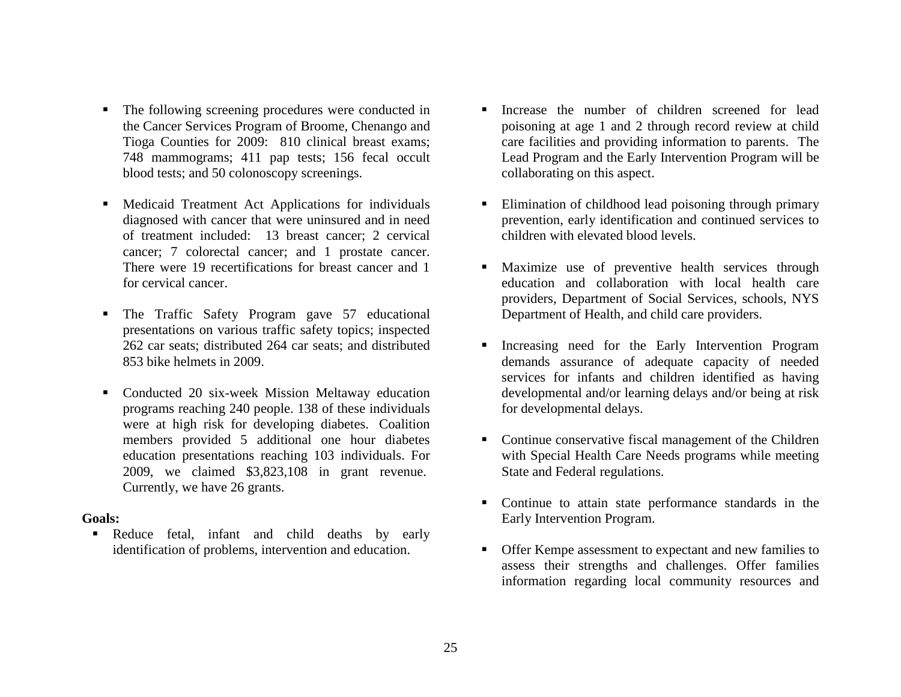- $\blacksquare$  The following screening procedures were conducted in the Cancer Services Program of Broome, Chenango and Tioga Counties for 2009: 810 clinical breast exams; 748 mammograms; 411 pap tests; 156 fecal occult blood tests; and 50 colonoscopy screenings.
- Medicaid Treatment Act Applications for individuals diagnosed with cancer that were uninsured and in need of treatment included: 13 breast cancer; 2 cervical cancer; 7 colorectal cancer; and 1 prostate cancer. There were 19 recertifications for breast cancer and 1 for cervical cancer.
- $\blacksquare$  The Traffic Safety Program gave 57 educational presentations on various traffic safety topics; inspected 262 car seats; distributed 264 car seats; and distributed 853 bike helmets in 2009.
- $\blacksquare$  Conducted 20 six-week Mission Meltaway education programs reaching 240 people. 138 of these individuals were at high risk for developing diabetes. Coalition members provided 5 additional one hour diabetes education presentations reaching 103 individuals. For 2009, we claimed \$3,823,108 in grant revenue. Currently, we have 26 grants.

#### **Goals:**

 Reduce fetal, infant and child deaths by early identification of problems, intervention and education.

- Г Increase the number of children screened for lead poisoning at age 1 and 2 through record review at child care facilities and providing information to parents. The Lead Program and the Early Intervention Program will be collaborating on this aspect.
- Г Elimination of childhood lead poisoning through primary prevention, early identification and continued services to children with elevated blood levels.
- $\blacksquare$  Maximize use of preventive health services through education and collaboration with local health care providers, Department of Social Services, schools, NYS Department of Health, and child care providers.
- **Increasing need for the Early Intervention Program** demands assurance of adequate capacity of needed services for infants and children identified as having developmental and/or learning delays and/or being at risk for developmental delays.
- Continue conservative fiscal management of the Children with Special Health Care Needs programs while meeting State and Federal regulations.
- Continue to attain state performance standards in the Early Intervention Program.
- Offer Kempe assessment to expectant and new families to assess their strengths and challenges. Offer families information regarding local community resources and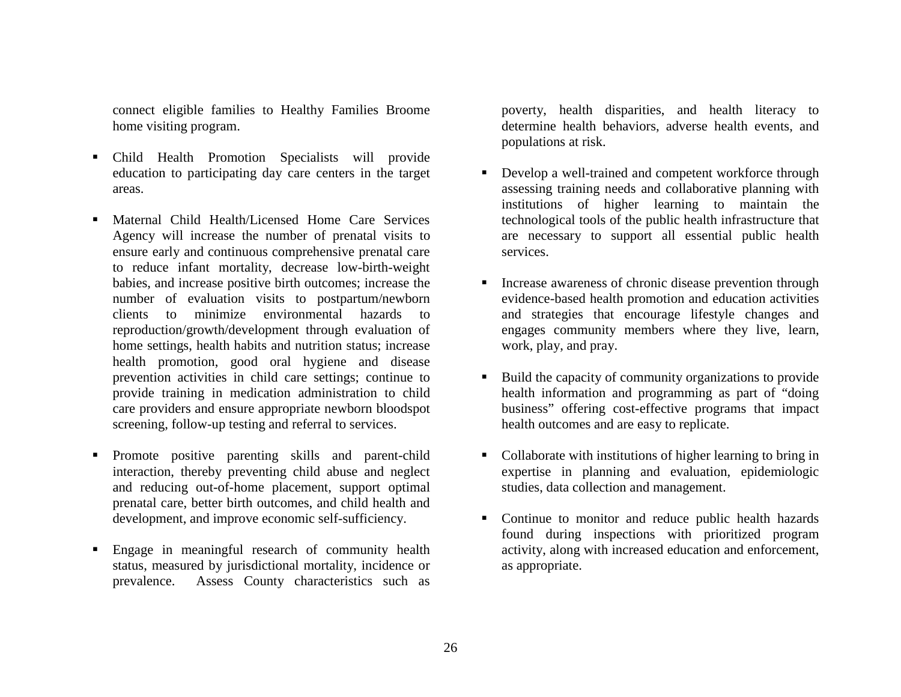connect eligible families to Healthy Families Broome home visiting program.

- п Child Health Promotion Specialists will provide education to participating day care centers in the target areas.
- Г Maternal Child Health/Licensed Home Care Services Agency will increase the number of prenatal visits to ensure early and continuous comprehensive prenatal care to reduce infant mortality, decrease low-birth-weight babies, and increase positive birth outcomes; increase the number of evaluation visits to postpartum/newborn clients to minimize environmental hazards to reproduction/growth/development through evaluation of home settings, health habits and nutrition status; increase health promotion, good oral hygiene and disease prevention activities in child care settings; continue to provide training in medication administration to child care providers and ensure appropriate newborn bloodspot screening, follow-up testing and referral to services.
- Г Promote positive parenting skills and parent-child interaction, thereby preventing child abuse and neglect and reducing out-of-home placement, support optimal prenatal care, better birth outcomes, and child health and development, and improve economic self-sufficiency.
- Engage in meaningful research of community health status, measured by jurisdictional mortality, incidence or prevalence. Assess County characteristics such as

poverty, health disparities, and health literacy to determine health behaviors, adverse health events, and populations at risk.

- Г Develop a well-trained and competent workforce through assessing training needs and collaborative planning with institutions of higher learning to maintain the technological tools of the public health infrastructure that are necessary to support all essential public health services.
- $\blacksquare$  . Increase awareness of chronic disease prevention through evidence-based health promotion and education activities and strategies that encourage lifestyle changes and engages community members where they live, learn, work, play, and pray.
- $\blacksquare$  . Build the capacity of community organizations to provide health information and programming as part of "doing business" offering cost-effective programs that impact health outcomes and are easy to replicate.
- Collaborate with institutions of higher learning to bring in expertise in planning and evaluation, epidemiologic studies, data collection and management.
- $\blacksquare$  Continue to monitor and reduce public health hazards found during inspections with prioritized program activity, along with increased education and enforcement, as appropriate.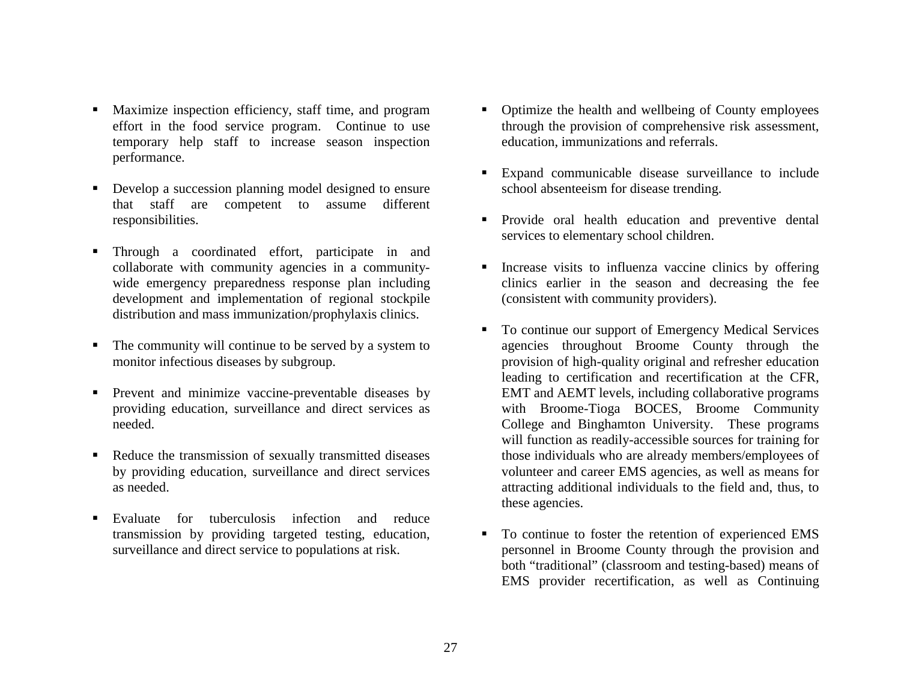- Maximize inspection efficiency, staff time, and program effort in the food service program. Continue to use temporary help staff to increase season inspection performance.
- Г Develop a succession planning model designed to ensure that staff are competent to assume different responsibilities.
- Г Through a coordinated effort, participate in and collaborate with community agencies in a communitywide emergency preparedness response plan including development and implementation of regional stockpile distribution and mass immunization/prophylaxis clinics.
- $\blacksquare$  The community will continue to be served by a system to monitor infectious diseases by subgroup.
- Ξ Prevent and minimize vaccine-preventable diseases by providing education, surveillance and direct services as needed.
- $\blacksquare$  Reduce the transmission of sexually transmitted diseases by providing education, surveillance and direct services as needed.
- Г Evaluate for tuberculosis infection and reduce transmission by providing targeted testing, education, surveillance and direct service to populations at risk.
- Г Optimize the health and wellbeing of County employees through the provision of comprehensive risk assessment, education, immunizations and referrals.
- $\blacksquare$  Expand communicable disease surveillance to include school absenteeism for disease trending.
- $\mathbf{u}$  Provide oral health education and preventive dental services to elementary school children.
- Г Increase visits to influenza vaccine clinics by offering clinics earlier in the season and decreasing the fee (consistent with community providers).
- $\blacksquare$  To continue our support of Emergency Medical Services agencies throughout Broome County through the provision of high-quality original and refresher education leading to certification and recertification at the CFR, EMT and AEMT levels, including collaborative programs with Broome-Tioga BOCES, Broome Community College and Binghamton University. These programs will function as readily-accessible sources for training for those individuals who are already members/employees of volunteer and career EMS agencies, as well as means for attracting additional individuals to the field and, thus, to these agencies.
- $\blacksquare$  To continue to foster the retention of experienced EMS personnel in Broome County through the provision and both "traditional" (classroom and testing-based) means of EMS provider recertification, as well as Continuing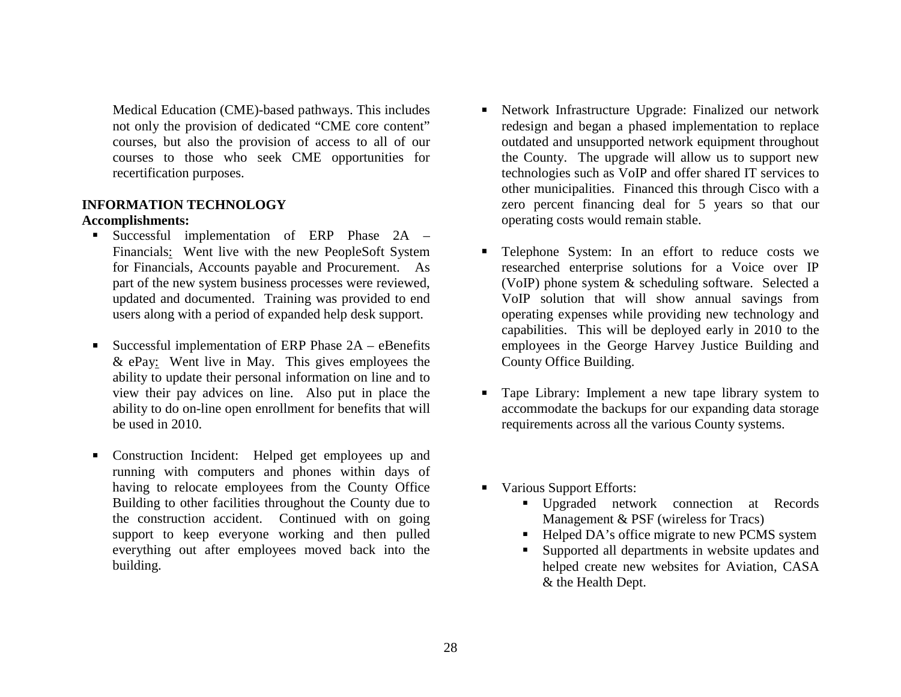Medical Education (CME)-based pathways. This includes not only the provision of dedicated "CME core content" courses, but also the provision of access to all of our courses to those who seek CME opportunities for recertification purposes.

## **INFORMATION TECHNOLOGY**

#### **Accomplishments:**

- . . Successful implementation of ERP Phase 2A – Financials: Went live with the new PeopleSoft System for Financials, Accounts payable and Procurement. As part of the new system business processes were reviewed, updated and documented. Training was provided to end users along with a period of expanded help desk support.
- Successful implementation of ERP Phase 2A eBenefits & ePay: Went live in May. This gives employees the ability to update their personal information on line and to view their pay advices on line. Also put in place the ability to do on-line open enrollment for benefits that will be used in 2010.
- Construction Incident: Helped get employees up and running with computers and phones within days of having to relocate employees from the County Office Building to other facilities throughout the County due to the construction accident. Continued with on going support to keep everyone working and then pulled everything out after employees moved back into the building.
- Network Infrastructure Upgrade: Finalized our network redesign and began a phased implementation to replace outdated and unsupported network equipment throughout the County. The upgrade will allow us to support new technologies such as VoIP and offer shared IT services to other municipalities. Financed this through Cisco with a zero percent financing deal for 5 years so that our operating costs would remain stable.
- Telephone System: In an effort to reduce costs we researched enterprise solutions for a Voice over IP (VoIP) phone system & scheduling software. Selected a VoIP solution that will show annual savings from operating expenses while providing new technology and capabilities. This will be deployed early in 2010 to the employees in the George Harvey Justice Building and County Office Building.
- Tape Library: Implement a new tape library system to accommodate the backups for our expanding data storage requirements across all the various County systems.
- Various Support Efforts:
	- Upgraded network connection at Records Management & PSF (wireless for Tracs)
	- Helped DA's office migrate to new PCMS system
	- Г Supported all departments in website updates and helped create new websites for Aviation, CASA & the Health Dept.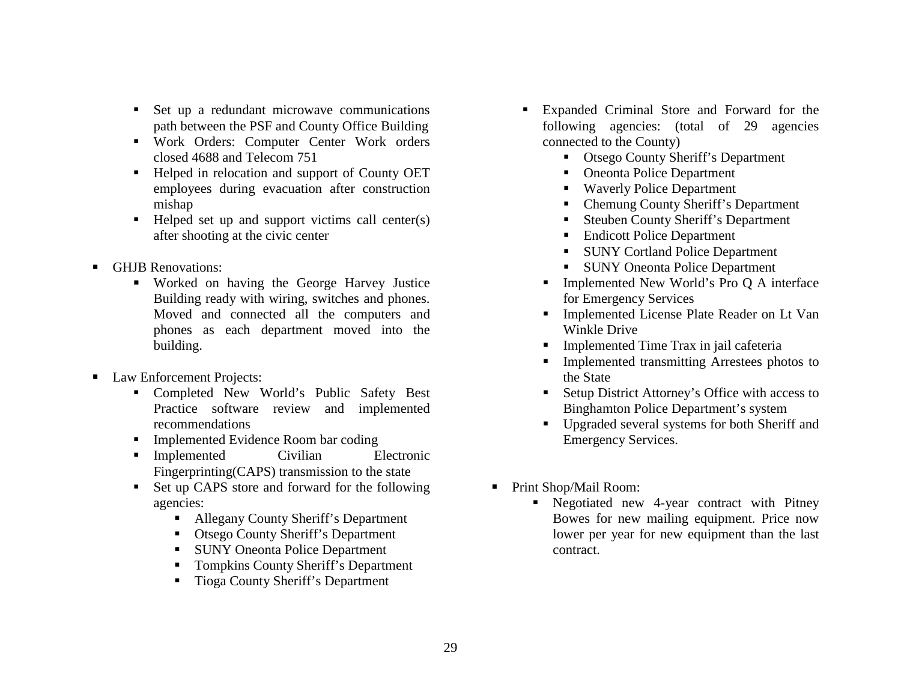- Set up a redundant microwave communications path between the PSF and County Office Building
- Work Orders: Computer Center Work orders closed 4688 and Telecom 751
- Helped in relocation and support of County OET employees during evacuation after construction mishap
- $\blacksquare$  Helped set up and support victims call center(s) after shooting at the civic center
- **GHJB Renovations:** 
	- Worked on having the George Harvey Justice Building ready with wiring, switches and phones. Moved and connected all the computers and phones as each department moved into the building.
- Law Enforcement Projects:
	- Completed New World's Public Safety Best Practice software review and implemented recommendations
	- **Implemented Evidence Room bar coding**
	- **Implemented** Civilian Electronic Fingerprinting(CAPS) transmission to the state
	- Set up CAPS store and forward for the following agencies:
		- Allegany County Sheriff's Department
		- Otsego County Sheriff's Department
		- SUNY Oneonta Police Department
		- Tompkins County Sheriff's Department
		- $\blacksquare$ Tioga County Sheriff's Department
- Expanded Criminal Store and Forward for the following agencies: (total of 29 agencies connected to the County)
	- Otsego County Sheriff's Department
	- Oneonta Police Department
	- Waverly Police Department
	- Chemung County Sheriff's Department
	- Steuben County Sheriff's Department
	- Endicott Police Department
	- SUNY Cortland Police Department
	- **SUNY Oneonta Police Department**
	- Implemented New World's Pro Q A interface for Emergency Services
	- Implemented License Plate Reader on Lt Van Winkle Drive
	- **Implemented Time Trax in jail cafeteria**
	- $\blacksquare$  Implemented transmitting Arrestees photos to the State
	- Setup District Attorney's Office with access to Binghamton Police Department's system
	- Upgraded several systems for both Sheriff and Emergency Services.
- $\blacksquare$  Print Shop/Mail Room:
	- Negotiated new 4-year contract with Pitney Bowes for new mailing equipment. Price now lower per year for new equipment than the last contract.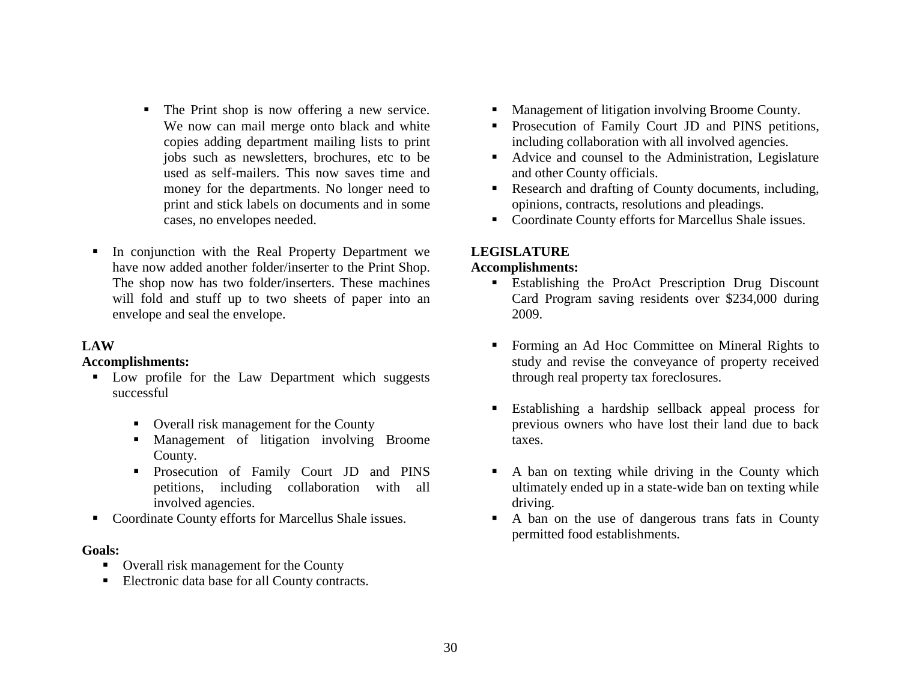- $\blacksquare$  The Print shop is now offering a new service. We now can mail merge onto black and white copies adding department mailing lists to print jobs such as newsletters, brochures, etc to be used as self-mailers. This now saves time and money for the departments. No longer need to print and stick labels on documents and in some cases, no envelopes needed.
- In conjunction with the Real Property Department we have now added another folder/inserter to the Print Shop. The shop now has two folder/inserters. These machines will fold and stuff up to two sheets of paper into an envelope and seal the envelope.

#### **LAW**

#### **Accomplishments:**

- Low profile for the Law Department which suggests successful
	- Overall risk management for the County
	- Management of litigation involving Broome County.
	- Prosecution of Family Court JD and PINS petitions, including collaboration with all involved agencies.
- Coordinate County efforts for Marcellus Shale issues.

## **Goals:**

- Overall risk management for the County
- $\blacksquare$ Electronic data base for all County contracts.
- **Management of litigation involving Broome County.**
- **Prosecution of Family Court JD and PINS petitions,** including collaboration with all involved agencies.
- Advice and counsel to the Administration, Legislature and other County officials.
- **Research and drafting of County documents, including,** opinions, contracts, resolutions and pleadings.
- Coordinate County efforts for Marcellus Shale issues.

## **LEGISLATURE**

#### **Accomplishments:**

- **Establishing the ProAct Prescription Drug Discount** Card Program saving residents over \$234,000 during 2009.
- Forming an Ad Hoc Committee on Mineral Rights to study and revise the conveyance of property received through real property tax foreclosures.
- Establishing a hardship sellback appeal process for previous owners who have lost their land due to back taxes.
- $\mathbf{E}^{\text{max}}$  A ban on texting while driving in the County which ultimately ended up in a state-wide ban on texting while driving.
- $\blacksquare$  . A ban on the use of dangerous trans fats in County permitted food establishments.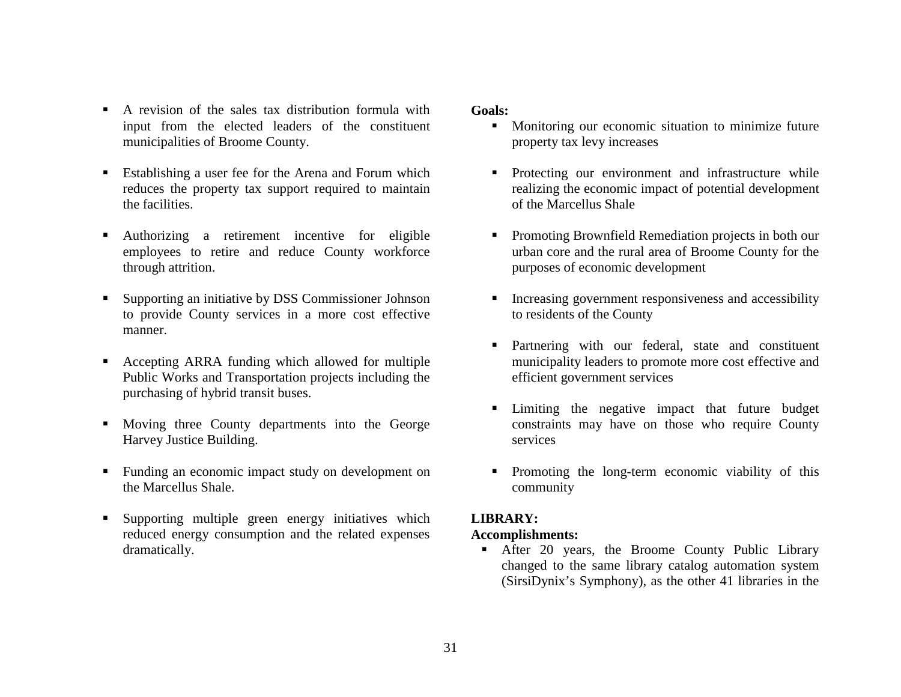- $\blacksquare$  A revision of the sales tax distribution formula with input from the elected leaders of the constituent municipalities of Broome County.
- **E**stablishing a user fee for the Arena and Forum which reduces the property tax support required to maintain the facilities.
- $\blacksquare$  Authorizing a retirement incentive for eligible employees to retire and reduce County workforce through attrition.
- $\blacksquare$  Supporting an initiative by DSS Commissioner Johnson to provide County services in a more cost effective manner.
- $\blacksquare$  Accepting ARRA funding which allowed for multiple Public Works and Transportation projects including the purchasing of hybrid transit buses.
- Moving three County departments into the George Harvey Justice Building.
- Funding an economic impact study on development on the Marcellus Shale.
- $\blacksquare$  Supporting multiple green energy initiatives which reduced energy consumption and the related expenses dramatically.

#### **Goals:**

- $\blacksquare$  Monitoring our economic situation to minimize future property tax levy increases
- **Protecting our environment and infrastructure while** realizing the economic impact of potential development of the Marcellus Shale
- Promoting Brownfield Remediation projects in both our urban core and the rural area of Broome County for the purposes of economic development
- Increasing government responsiveness and accessibility to residents of the County
- **Partnering with our federal, state and constituent** municipality leaders to promote more cost effective and efficient government services
- Limiting the negative impact that future budget constraints may have on those who require County services
- **Promoting the long-term economic viability of this** community

## **LIBRARY:**

#### **Accomplishments:**

Г After 20 years, the Broome County Public Library changed to the same library catalog automation system (SirsiDynix's Symphony), as the other 41 libraries in the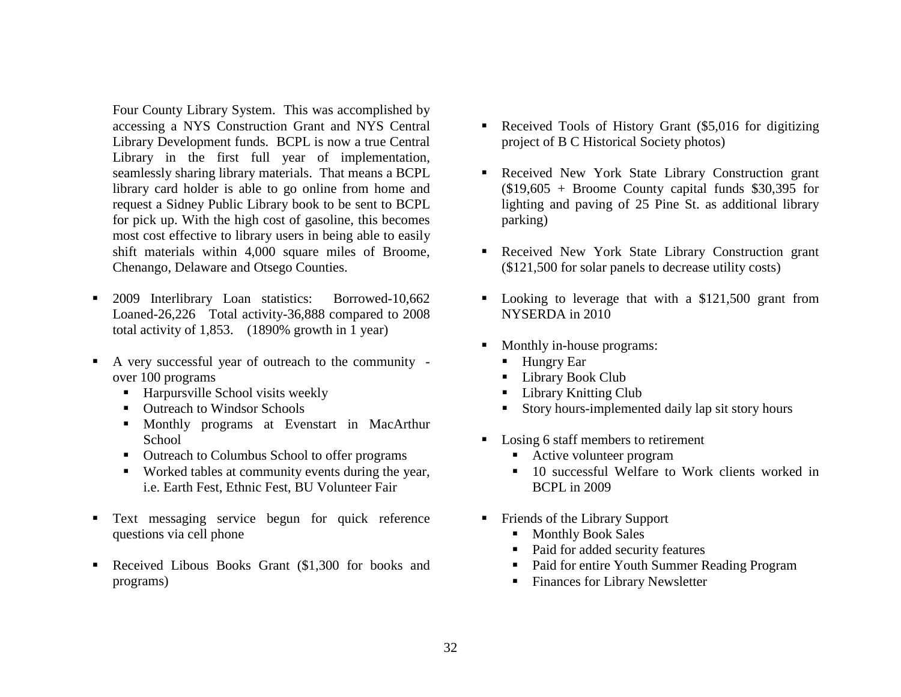Four County Library System. This was accomplished by accessing a NYS Construction Grant and NYS Central Library Development funds. BCPL is now a true Central Library in the first full year of implementation, seamlessly sharing library materials. That means a BCPL library card holder is able to go online from home and request a Sidney Public Library book to be sent to BCPL for pick up. With the high cost of gasoline, this becomes most cost effective to library users in being able to easily shift materials within 4,000 square miles of Broome, Chenango, Delaware and Otsego Counties.

- $\blacksquare$  2009 Interlibrary Loan statistics: Borrowed-10,662 Loaned-26,226 Total activity-36,888 compared to 2008 total activity of 1,853. (1890% growth in 1 year)
- $\blacksquare$  A very successful year of outreach to the community over 100 programs
	- Harpursville School visits weekly
	- Outreach to Windsor Schools
	- **Monthly programs at Evenstart in MacArthur** School
	- Outreach to Columbus School to offer programs
	- Worked tables at community events during the year, i.e. Earth Fest, Ethnic Fest, BU Volunteer Fair
- $\blacksquare$  . Text messaging service begun for quick reference questions via cell phone
- $\blacksquare$  Received Libous Books Grant (\$1,300 for books and programs)
- Received Tools of History Grant (\$5,016 for digitizing project of B C Historical Society photos)
- Received New York State Library Construction grant  $$19,605 + Broom$  County capital funds \$30,395 for lighting and paving of 25 Pine St. as additional library parking)
- Received New York State Library Construction grant (\$121,500 for solar panels to decrease utility costs)
- Looking to leverage that with a \$121,500 grant from NYSERDA in 2010
- Monthly in-house programs:
	- Hungry Ear
	- Library Book Club
	- $\mathbf{r}$ Library Knitting Club
	- Story hours-implemented daily lap sit story hours
- Losing 6 staff members to retirement
	- Active volunteer program
	- 10 successful Welfare to Work clients worked in BCPL in 2009
- Friends of the Library Support
	- Monthly Book Sales
	- Paid for added security features
	- Paid for entire Youth Summer Reading Program
	- Finances for Library Newsletter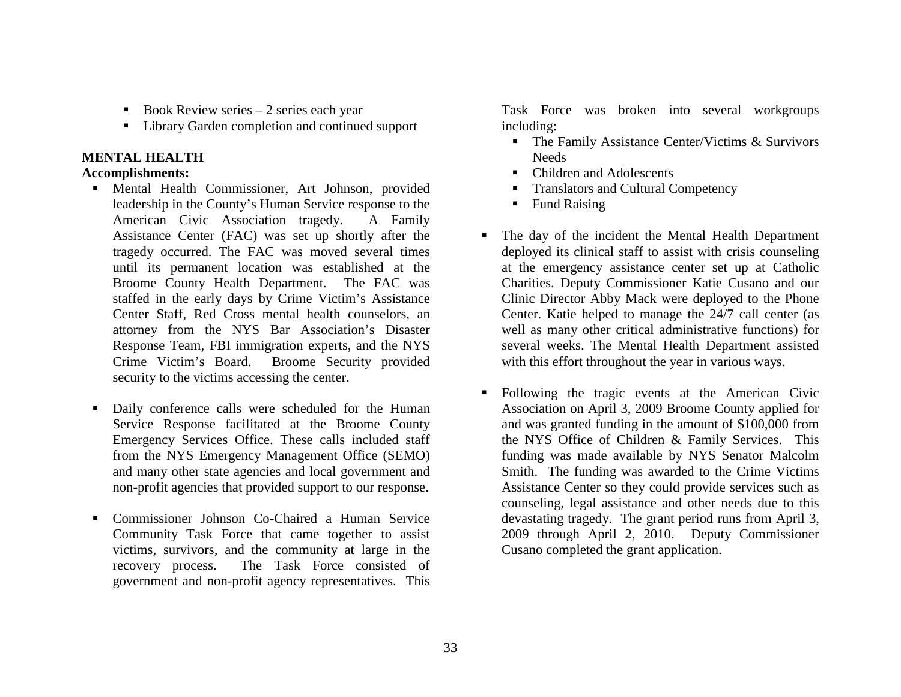- Book Review series  $-2$  series each year
- Library Garden completion and continued support

## **MENTAL HEALTH**

## **Accomplishments:**

- Mental Health Commissioner, Art Johnson, provided leadership in the County's Human Service response to the American Civic Association tragedy. A Family Assistance Center (FAC) was set up shortly after the tragedy occurred. The FAC was moved several times until its permanent location was established at the Broome County Health Department. The FAC was staffed in the early days by Crime Victim's Assistance Center Staff, Red Cross mental health counselors, an attorney from the NYS Bar Association's Disaster Response Team, FBI immigration experts, and the NYS Crime Victim's Board. Broome Security provided security to the victims accessing the center.
- $\blacksquare$  Daily conference calls were scheduled for the Human Service Response facilitated at the Broome County Emergency Services Office. These calls included staff from the NYS Emergency Management Office (SEMO) and many other state agencies and local government and non-profit agencies that provided support to our response.
- $\blacksquare$  Commissioner Johnson Co-Chaired a Human Service Community Task Force that came together to assist victims, survivors, and the community at large in the recovery process. The Task Force consisted of government and non-profit agency representatives. This

Task Force was broken into several workgroups including:

- The Family Assistance Center/Victims & Survivors **Needs**
- Children and Adolescents
- Г Translators and Cultural Competency
- $\blacksquare$ Fund Raising
- The day of the incident the Mental Health Department deployed its clinical staff to assist with crisis counseling at the emergency assistance center set up at Catholic Charities. Deputy Commissioner Katie Cusano and our Clinic Director Abby Mack were deployed to the Phone Center. Katie helped to manage the 24/7 call center (as well as many other critical administrative functions) for several weeks. The Mental Health Department assisted with this effort throughout the year in various ways.
- Following the tragic events at the American Civic Association on April 3, 2009 Broome County applied for and was granted funding in the amount of \$100,000 from the NYS Office of Children & Family Services. This funding was made available by NYS Senator Malcolm Smith. The funding was awarded to the Crime Victims Assistance Center so they could provide services such as counseling, legal assistance and other needs due to this devastating tragedy. The grant period runs from April 3, 2009 through April 2, 2010. Deputy Commissioner Cusano completed the grant application.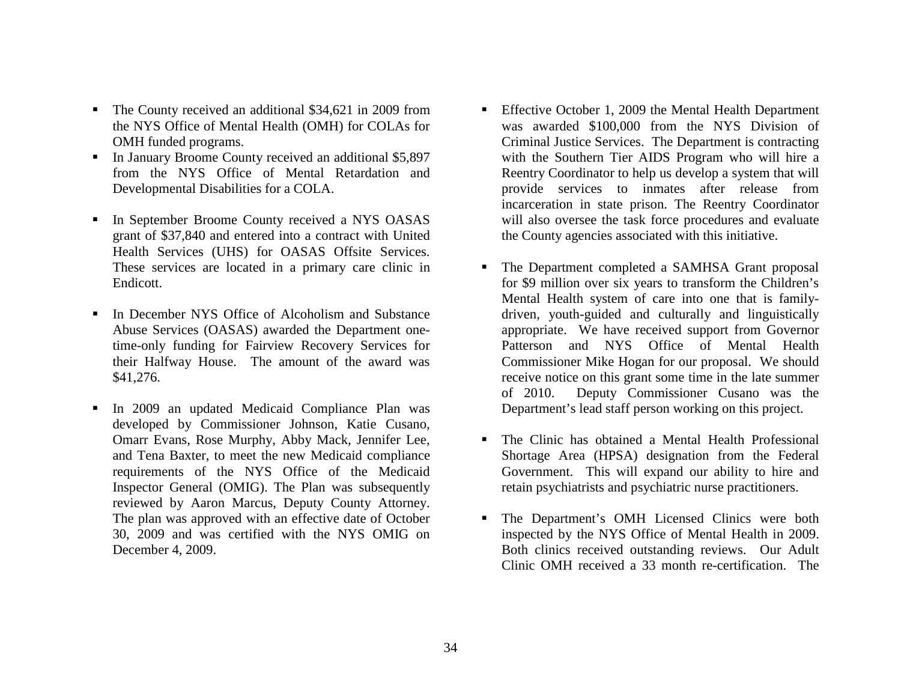- The County received an additional \$34,621 in 2009 from the NYS Office of Mental Health (OMH) for COLAs for OMH funded programs.
- In January Broome County received an additional \$5,897 from the NYS Office of Mental Retardation and Developmental Disabilities for a COLA.
- In September Broome County received a NYS OASAS grant of \$37,840 and entered into a contract with United Health Services (UHS) for OASAS Offsite Services. These services are located in a primary care clinic in Endicott.
- In December NYS Office of Alcoholism and Substance Abuse Services (OASAS) awarded the Department onetime-only funding for Fairview Recovery Services for their Halfway House. The amount of the award was \$41,276.
- $\blacksquare$  In 2009 an updated Medicaid Compliance Plan was developed by Commissioner Johnson, Katie Cusano, Omarr Evans, Rose Murphy, Abby Mack, Jennifer Lee, and Tena Baxter, to meet the new Medicaid compliance requirements of the NYS Office of the Medicaid Inspector General (OMIG). The Plan was subsequently reviewed by Aaron Marcus, Deputy County Attorney. The plan was approved with an effective date of October 30, 2009 and was certified with the NYS OMIG on December 4, 2009.
- Г Effective October 1, 2009 the Mental Health Department was awarded \$100,000 from the NYS Division of Criminal Justice Services. The Department is contracting with the Southern Tier AIDS Program who will hire a Reentry Coordinator to help us develop a system that will provide services to inmates after release from incarceration in state prison. The Reentry Coordinator will also oversee the task force procedures and evaluate the County agencies associated with this initiative.
- Г The Department completed a SAMHSA Grant proposal for \$9 million over six years to transform the Children's Mental Health system of care into one that is familydriven, youth-guided and culturally and linguistically appropriate. We have received support from Governor Patterson and NYS Office of Mental Health Commissioner Mike Hogan for our proposal. We should receive notice on this grant some time in the late summer of 2010. Deputy Commissioner Cusano was the Department's lead staff person working on this project.
- The Clinic has obtained a Mental Health Professional Shortage Area (HPSA) designation from the Federal Government. This will expand our ability to hire and retain psychiatrists and psychiatric nurse practitioners.
- Г The Department's OMH Licensed Clinics were both inspected by the NYS Office of Mental Health in 2009. Both clinics received outstanding reviews. Our Adult Clinic OMH received a 33 month re-certification. The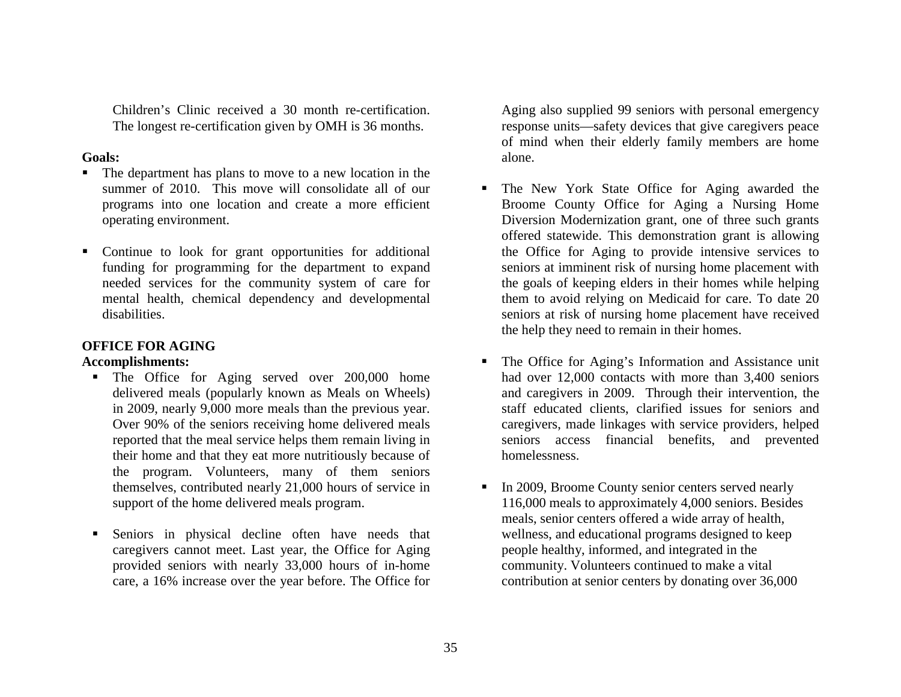Children's Clinic received a 30 month re-certification. The longest re-certification given by OMH is 36 months.

#### **Goals:**

- Г The department has plans to move to a new location in the summer of 2010. This move will consolidate all of our programs into one location and create a more efficient operating environment.
- Continue to look for grant opportunities for additional funding for programming for the department to expand needed services for the community system of care for mental health, chemical dependency and developmental disabilities.

#### **OFFICE FOR AGING**

#### **Accomplishments:**

- **The Office for Aging served over 200,000 home** delivered meals (popularly known as Meals on Wheels) in 2009, nearly 9,000 more meals than the previous year. Over 90% of the seniors receiving home delivered meals reported that the meal service helps them remain living in their home and that they eat more nutritiously because of the program. Volunteers, many of them seniors themselves, contributed nearly 21,000 hours of service in support of the home delivered meals program.
- Г Seniors in physical decline often have needs that caregivers cannot meet. Last year, the Office for Aging provided seniors with nearly 33,000 hours of in-home care, a 16% increase over the year before. The Office for

Aging also supplied 99 seniors with personal emergency response units—safety devices that give caregivers peace of mind when their elderly family members are home alone.

- Г The New York State Office for Aging awarded the Broome County Office for Aging a Nursing Home Diversion Modernization grant, one of three such grants offered statewide. This demonstration grant is allowing the Office for Aging to provide intensive services to seniors at imminent risk of nursing home placement with the goals of keeping elders in their homes while helping them to avoid relying on Medicaid for care. To date 20 seniors at risk of nursing home placement have received the help they need to remain in their homes.
- Г The Office for Aging's Information and Assistance unit had over 12,000 contacts with more than 3,400 seniors and caregivers in 2009. Through their intervention, the staff educated clients, clarified issues for seniors and caregivers, made linkages with service providers, helped seniors access financial benefits, and prevented homelessness.
- In 2009, Broome County senior centers served nearly 116,000 meals to approximately 4,000 seniors. Besides meals, senior centers offered a wide array of health, wellness, and educational programs designed to keep people healthy, informed, and integrated in the community. Volunteers continued to make a vital contribution at senior centers by donating over 36,000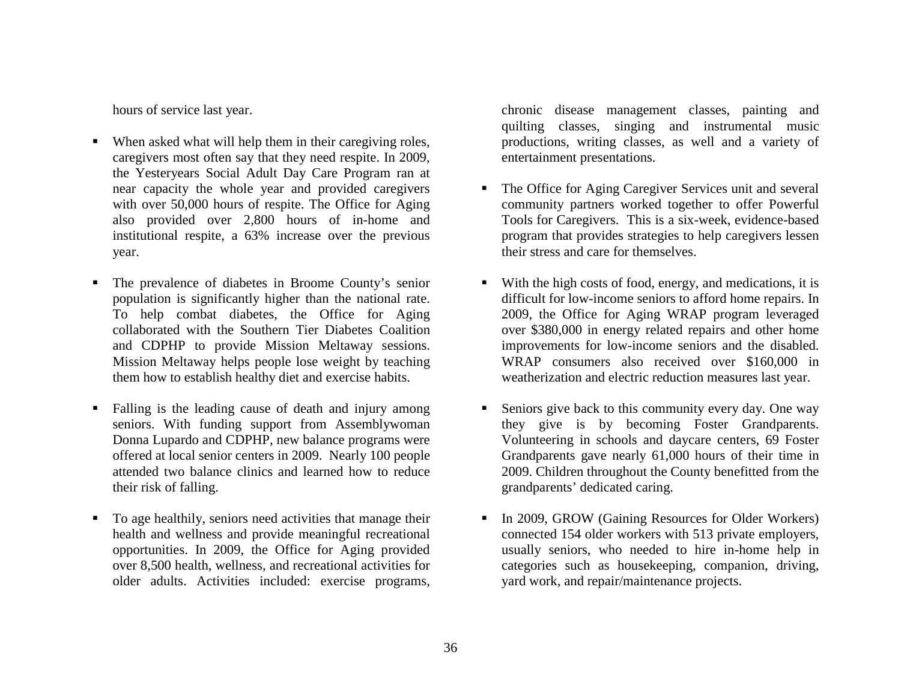hours of service last year.

- Г When asked what will help them in their caregiving roles, caregivers most often say that they need respite. In 2009, the Yesteryears Social Adult Day Care Program ran at near capacity the whole year and provided caregivers with over 50,000 hours of respite. The Office for Aging also provided over 2,800 hours of in-home and institutional respite, a 63% increase over the previous year.
- Г The prevalence of diabetes in Broome County's senior population is significantly higher than the national rate. To help combat diabetes, the Office for Aging collaborated with the Southern Tier Diabetes Coalition and CDPHP to provide Mission Meltaway sessions. Mission Meltaway helps people lose weight by teaching them how to establish healthy diet and exercise habits.
- Г Falling is the leading cause of death and injury among seniors. With funding support from Assemblywoman Donna Lupardo and CDPHP, new balance programs were offered at local senior centers in 2009. Nearly 100 people attended two balance clinics and learned how to reduce their risk of falling.
- Г To age healthily, seniors need activities that manage their health and wellness and provide meaningful recreational opportunities. In 2009, the Office for Aging provided over 8,500 health, wellness, and recreational activities for older adults. Activities included: exercise programs,

chronic disease management classes, painting and quilting classes, singing and instrumental music productions, writing classes, as well and a variety of entertainment presentations.

- **The Office for Aging Caregiver Services unit and several** community partners worked together to offer Powerful Tools for Caregivers. This is a six-week, evidence-based program that provides strategies to help caregivers lessen their stress and care for themselves.
- With the high costs of food, energy, and medications, it is difficult for low-income seniors to afford home repairs. In 2009, the Office for Aging WRAP program leveraged over \$380,000 in energy related repairs and other home improvements for low-income seniors and the disabled. WRAP consumers also received over \$160,000 in weatherization and electric reduction measures last year.
- Г Seniors give back to this community every day. One way they give is by becoming Foster Grandparents. Volunteering in schools and daycare centers, 69 Foster Grandparents gave nearly 61,000 hours of their time in 2009. Children throughout the County benefitted from the grandparents' dedicated caring.
- Г In 2009, GROW (Gaining Resources for Older Workers) connected 154 older workers with 513 private employers, usually seniors, who needed to hire in-home help in categories such as housekeeping, companion, driving, yard work, and repair/maintenance projects.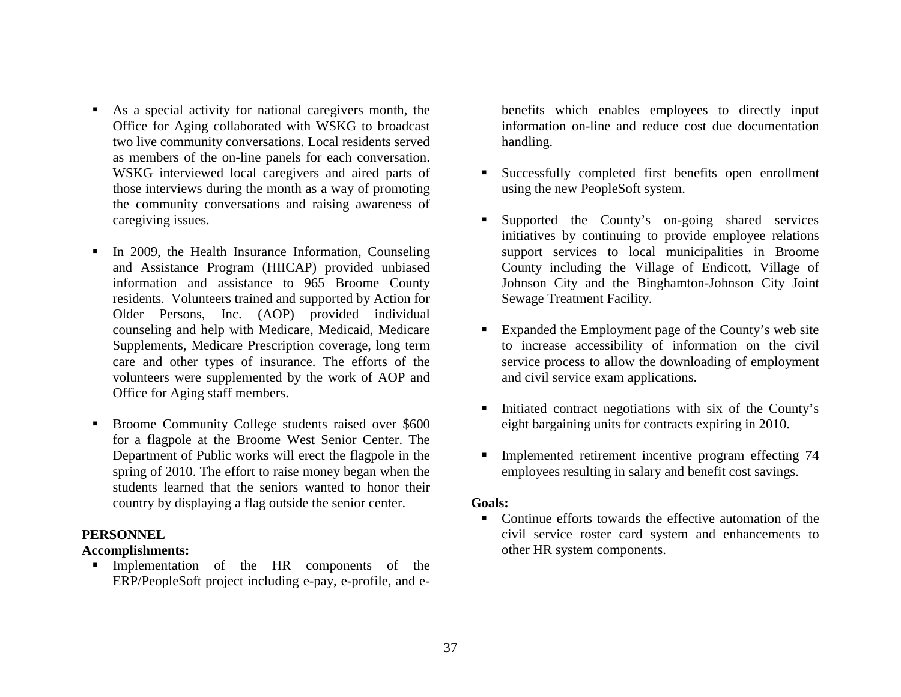- As a special activity for national caregivers month, the Office for Aging collaborated with WSKG to broadcast two live community conversations. Local residents served as members of the on-line panels for each conversation. WSKG interviewed local caregivers and aired parts of those interviews during the month as a way of promoting the community conversations and raising awareness of caregiving issues.
- $\blacksquare$  In 2009, the Health Insurance Information, Counseling and Assistance Program (HIICAP) provided unbiased information and assistance to 965 Broome County residents. Volunteers trained and supported by Action for Older Persons, Inc. (AOP) provided individual counseling and help with Medicare, Medicaid, Medicare Supplements, Medicare Prescription coverage, long term care and other types of insurance. The efforts of the volunteers were supplemented by the work of AOP and Office for Aging staff members.
- **Broome Community College students raised over \$600** for a flagpole at the Broome West Senior Center. The Department of Public works will erect the flagpole in the spring of 2010. The effort to raise money began when the students learned that the seniors wanted to honor their country by displaying a flag outside the senior center.

#### **PERSONNEL**

#### **Accomplishments:**

 Implementation of the HR components of the ERP/PeopleSoft project including e-pay, e-profile, and ebenefits which enables employees to directly input information on-line and reduce cost due documentation handling.

- $\mathbf{u}$  Successfully completed first benefits open enrollment using the new PeopleSoft system.
- Supported the County's on-going shared services initiatives by continuing to provide employee relations support services to local municipalities in Broome County including the Village of Endicott, Village of Johnson City and the Binghamton-Johnson City Joint Sewage Treatment Facility.
- Expanded the Employment page of the County's web site to increase accessibility of information on the civil service process to allow the downloading of employment and civil service exam applications.
- Initiated contract negotiations with six of the County's eight bargaining units for contracts expiring in 2010.
- Implemented retirement incentive program effecting 74 employees resulting in salary and benefit cost savings.

## **Goals:**

■ Continue efforts towards the effective automation of the civil service roster card system and enhancements to other HR system components.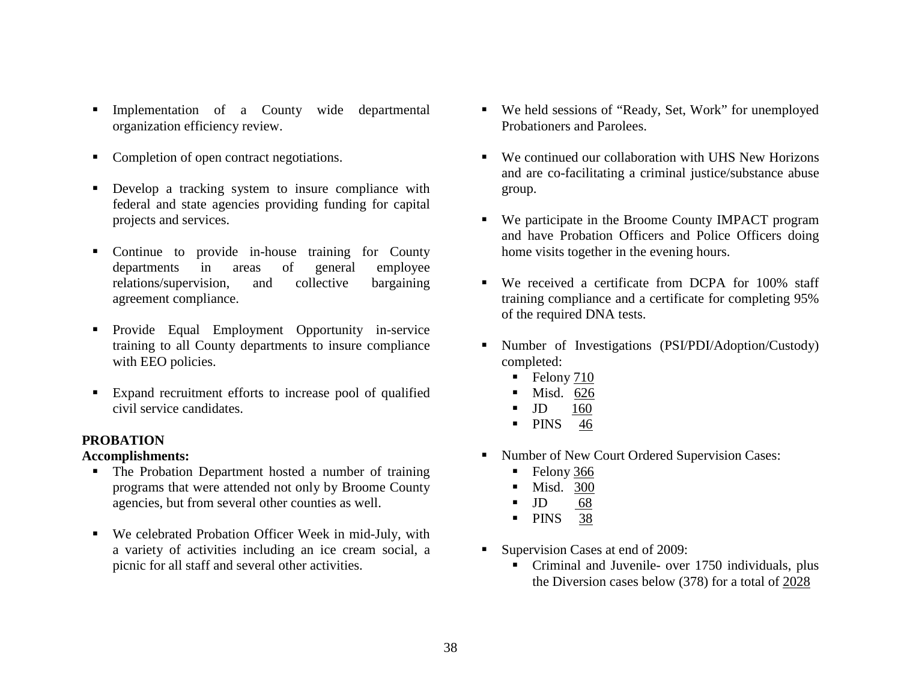- $\blacksquare$  Implementation of a County wide departmental organization efficiency review.
- Completion of open contract negotiations.
- **Develop a tracking system to insure compliance with** federal and state agencies providing funding for capital projects and services.
- **Continue to provide in-house training for County** departments in areas of general employee relations/supervision, and collective bargaining agreement compliance.
- Provide Equal Employment Opportunity in-service training to all County departments to insure compliance with EEO policies.
- Expand recruitment efforts to increase pool of qualified civil service candidates.

## **PROBATION**

#### **Accomplishments:**

- The Probation Department hosted a number of training programs that were attended not only by Broome County agencies, but from several other counties as well.
- We celebrated Probation Officer Week in mid-July, with a variety of activities including an ice cream social, a picnic for all staff and several other activities.
- We held sessions of "Ready, Set, Work" for unemployed Probationers and Parolees.
- We continued our collaboration with UHS New Horizons and are co-facilitating a criminal justice/substance abuse group.
- $\blacksquare$  We participate in the Broome County IMPACT program and have Probation Officers and Police Officers doing home visits together in the evening hours.
- We received a certificate from DCPA for 100% staff training compliance and a certificate for completing 95% of the required DNA tests.
- Number of Investigations (PSI/PDI/Adoption/Custody) completed:
	- $\blacksquare$  Felony  $\frac{710}{2}$
	- Г Misd. 626
	- Г JD 160
	- PINS 46
- Number of New Court Ordered Supervision Cases:
	- Г Felony 366
	- $\blacksquare$ Misd. 300
	- Г JD 68
	- **PINS** 38
- Г Supervision Cases at end of 2009:
	- Criminal and Juvenile- over 1750 individuals, plus the Diversion cases below (378) for a total of 2028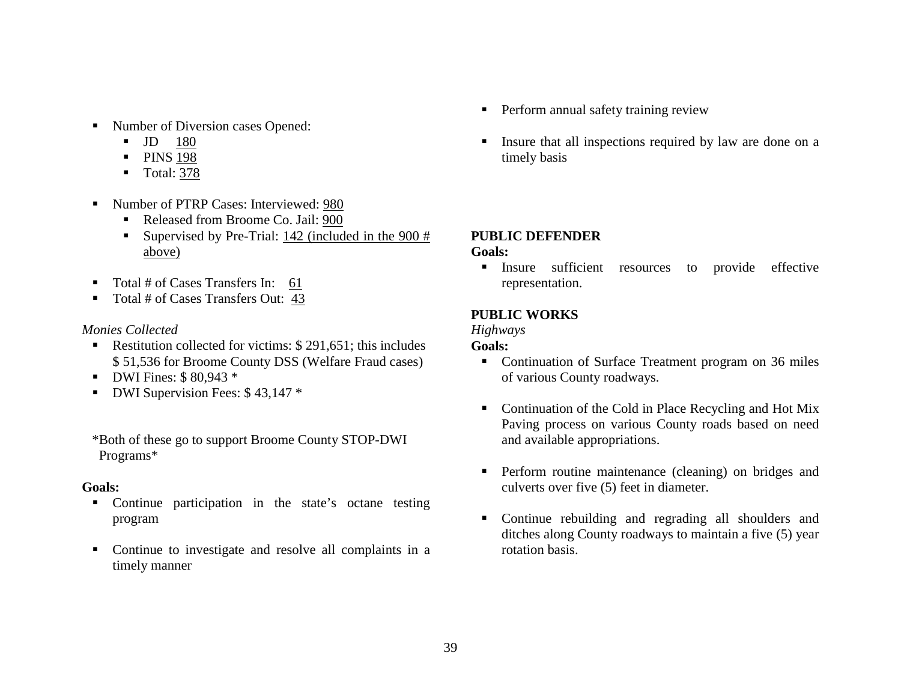- Number of Diversion cases Opened:
	- JD 180
	- **•** PINS 198
	- Total: 378
- Number of PTRP Cases: Interviewed: 980
	- Released from Broome Co. Jail: 900
	- Supervised by Pre-Trial:  $142$  (included in the  $900 \#$ above)
- Total # of Cases Transfers In: 61
- Total # of Cases Transfers Out: 43

## *Monies Collected*

- Restitution collected for victims: \$291,651; this includes \$ 51,536 for Broome County DSS (Welfare Fraud cases)
- **DWI Fines:**  $$80,943*$
- **DWI Supervision Fees: \$43,147 \***

\*Both of these go to support Broome County STOP-DWI Programs\*

## **Goals:**

- $\blacksquare$  Continue participation in the state's octane testing program
- Continue to investigate and resolve all complaints in a timely manner
- **Perform annual safety training review**
- Г Insure that all inspections required by law are done on a timely basis

## **PUBLIC DEFENDER**

## **Goals:**

 $\blacksquare$  Insure sufficient resources to provide effective representation.

## **PUBLIC WORKS**

## *Highways*

- Continuation of Surface Treatment program on 36 miles of various County roadways.
- $\blacksquare$  Continuation of the Cold in Place Recycling and Hot Mix Paving process on various County roads based on need and available appropriations.
- **Perform routine maintenance (cleaning) on bridges and** culverts over five (5) feet in diameter.
- $\blacksquare$  Continue rebuilding and regrading all shoulders and ditches along County roadways to maintain a five (5) year rotation basis.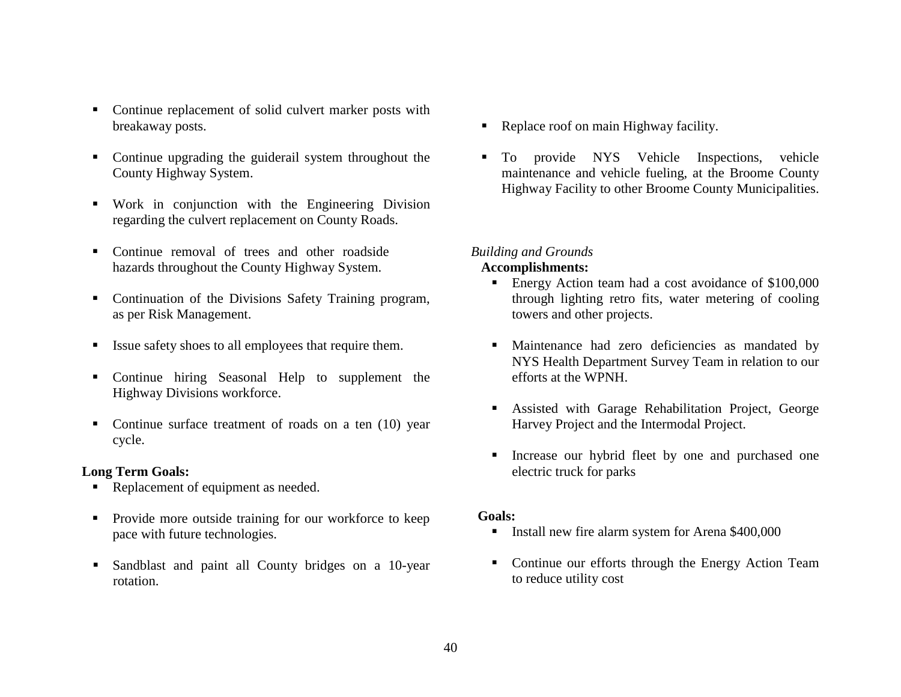- Continue replacement of solid culvert marker posts with breakaway posts.
- Continue upgrading the guiderail system throughout the County Highway System.
- Work in conjunction with the Engineering Division regarding the culvert replacement on County Roads.
- Continue removal of trees and other roadside hazards throughout the County Highway System.
- Continuation of the Divisions Safety Training program, as per Risk Management.
- Issue safety shoes to all employees that require them.
- Continue hiring Seasonal Help to supplement the Highway Divisions workforce.
- Continue surface treatment of roads on a ten (10) year cycle.

#### **Long Term Goals:**

- Replacement of equipment as needed.
- **Provide more outside training for our workforce to keep** pace with future technologies.
- ٠ Sandblast and paint all County bridges on a 10-year rotation.
- Replace roof on main Highway facility.
- To provide NYS Vehicle Inspections, vehicle maintenance and vehicle fueling, at the Broome County Highway Facility to other Broome County Municipalities.

#### *Building and Grounds*

#### **Accomplishments:**

- Energy Action team had a cost avoidance of \$100,000 through lighting retro fits, water metering of cooling towers and other projects.
- Maintenance had zero deficiencies as mandated by NYS Health Department Survey Team in relation to our efforts at the WPNH.
- Assisted with Garage Rehabilitation Project, George Harvey Project and the Intermodal Project.
- Increase our hybrid fleet by one and purchased one electric truck for parks

- Install new fire alarm system for Arena \$400,000
- **Continue our efforts through the Energy Action Team** to reduce utility cost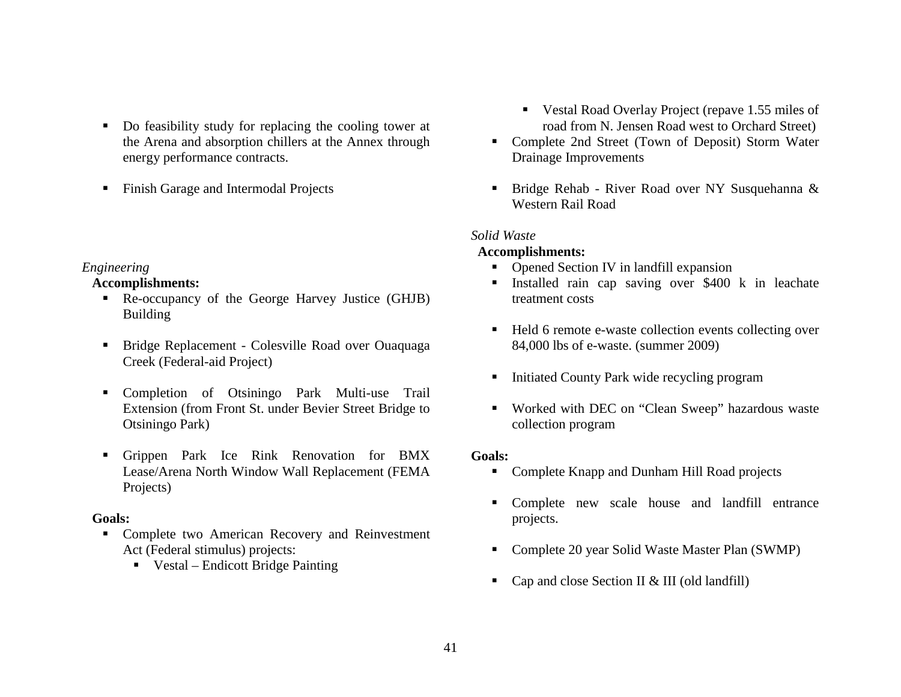- Do feasibility study for replacing the cooling tower at the Arena and absorption chillers at the Annex through energy performance contracts.
- $\blacksquare$ Finish Garage and Intermodal Projects

#### *Engineering*

## **Accomplishments:**

- Re-occupancy of the George Harvey Justice (GHJB) Building
- **Bridge Replacement Colesville Road over Ouaquaga** Creek (Federal-aid Project)
- $\blacksquare$  Completion of Otsiningo Park Multi-use Trail Extension (from Front St. under Bevier Street Bridge to Otsiningo Park)
- Grippen Park Ice Rink Renovation for BMX Lease/Arena North Window Wall Replacement (FEMA Projects)

## **Goals:**

- **Complete two American Recovery and Reinvestment** Act (Federal stimulus) projects:
	- Vestal Endicott Bridge Painting
- Vestal Road Overlay Project (repave 1.55 miles of road from N. Jensen Road west to Orchard Street)
- Complete 2nd Street (Town of Deposit) Storm Water Drainage Improvements
- Г Bridge Rehab - River Road over NY Susquehanna & Western Rail Road

## *Solid Waste*

## **Accomplishments:**

- Opened Section IV in landfill expansion
- Installed rain cap saving over \$400 k in leachate treatment costs
- Held 6 remote e-waste collection events collecting over 84,000 lbs of e-waste. (summer 2009)
- $\blacksquare$ Initiated County Park wide recycling program
- Worked with DEC on "Clean Sweep" hazardous waste collection program

- Complete Knapp and Dunham Hill Road projects
- Complete new scale house and landfill entrance projects.
- $\blacksquare$ Complete 20 year Solid Waste Master Plan (SWMP)
- $\blacksquare$ Cap and close Section II & III (old landfill)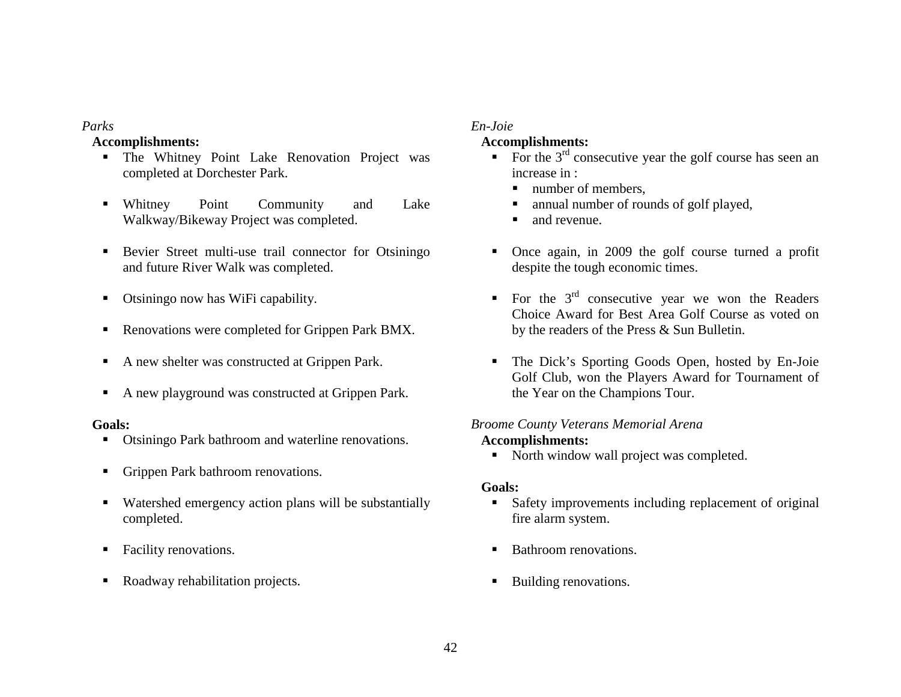## *Parks*

#### **Accomplishments:**

- The Whitney Point Lake Renovation Project was completed at Dorchester Park.
- Whitney Point Community and Lake Walkway/Bikeway Project was completed.
- **Bevier Street multi-use trail connector for Otsiningo** and future River Walk was completed.
- $\blacksquare$ Otsiningo now has WiFi capability.
- $\blacksquare$ Renovations were completed for Grippen Park BMX.
- $\blacksquare$ A new shelter was constructed at Grippen Park.
- п A new playground was constructed at Grippen Park.

#### **Goals:**

- **Otsiningo Park bathroom and waterline renovations.**
- $\blacksquare$ Grippen Park bathroom renovations.
- $\blacksquare$  Watershed emergency action plans will be substantially completed.
- п Facility renovations.
- $\blacksquare$ Roadway rehabilitation projects.

## *En-Joie*

## **Accomplishments:**

- $\blacksquare$ For the  $3<sup>rd</sup>$  consecutive year the golf course has seen an increase in :
	- Г number of members,
	- Г annual number of rounds of golf played,
	- Г and revenue.
- Once again, in 2009 the golf course turned a profit despite the tough economic times.
- For the  $3<sup>rd</sup>$  consecutive year we won the Readers Choice Award for Best Area Golf Course as voted on by the readers of the Press & Sun Bulletin.
- The Dick's Sporting Goods Open, hosted by En-Joie Golf Club, won the Players Award for Tournament of the Year on the Champions Tour.

## *Broome County Veterans Memorial Arena*

## **Accomplishments:**

• North window wall project was completed.

- Safety improvements including replacement of original fire alarm system.
- Г Bathroom renovations.
- $\blacksquare$ Building renovations.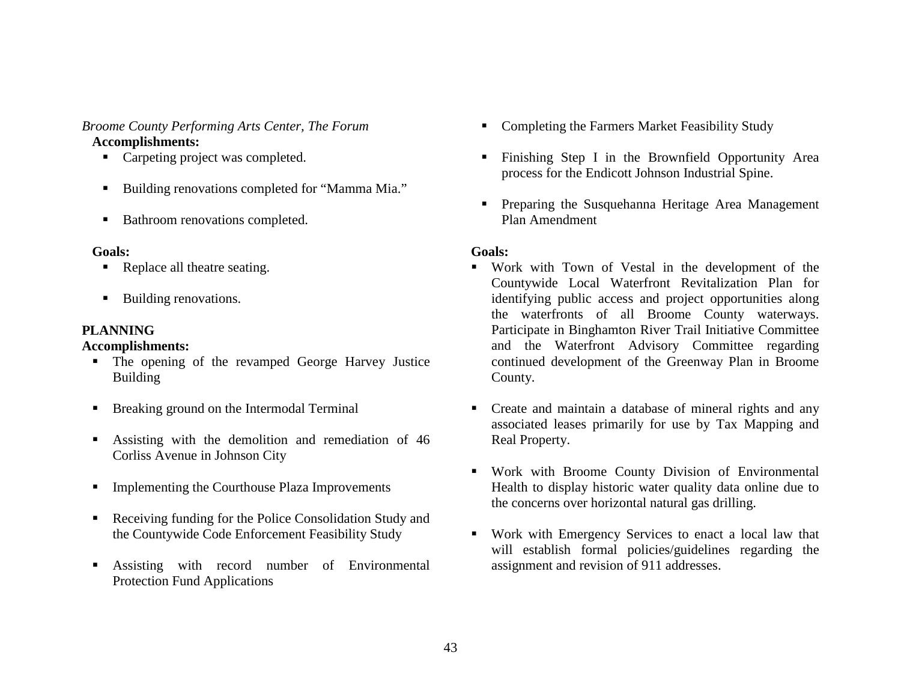## *Broome County Performing Arts Center, The Forum*  **Accomplishments:**

- Carpeting project was completed.
- $\blacksquare$ Building renovations completed for "Mamma Mia."
- $\blacksquare$ Bathroom renovations completed.

#### **Goals:**

- Replace all theatre seating.
- $\blacksquare$ Building renovations.

## **PLANNING**

## **Accomplishments:**

- The opening of the revamped George Harvey Justice Building
- **Breaking ground on the Intermodal Terminal**
- Assisting with the demolition and remediation of 46 Corliss Avenue in Johnson City
- $\blacksquare$ Implementing the Courthouse Plaza Improvements
- **Receiving funding for the Police Consolidation Study and** the Countywide Code Enforcement Feasibility Study
- ٠ Assisting with record number of Environmental Protection Fund Applications
- Completing the Farmers Market Feasibility Study
- Finishing Step I in the Brownfield Opportunity Area process for the Endicott Johnson Industrial Spine.
- **Preparing the Susquehanna Heritage Area Management** Plan Amendment

- $\blacksquare$  Work with Town of Vestal in the development of the Countywide Local Waterfront Revitalization Plan for identifying public access and project opportunities along the waterfronts of all Broome County waterways. Participate in Binghamton River Trail Initiative Committee and the Waterfront Advisory Committee regarding continued development of the Greenway Plan in Broome County.
- Create and maintain a database of mineral rights and any associated leases primarily for use by Tax Mapping and Real Property.
- Work with Broome County Division of Environmental Health to display historic water quality data online due to the concerns over horizontal natural gas drilling.
- Work with Emergency Services to enact a local law that will establish formal policies/guidelines regarding the assignment and revision of 911 addresses.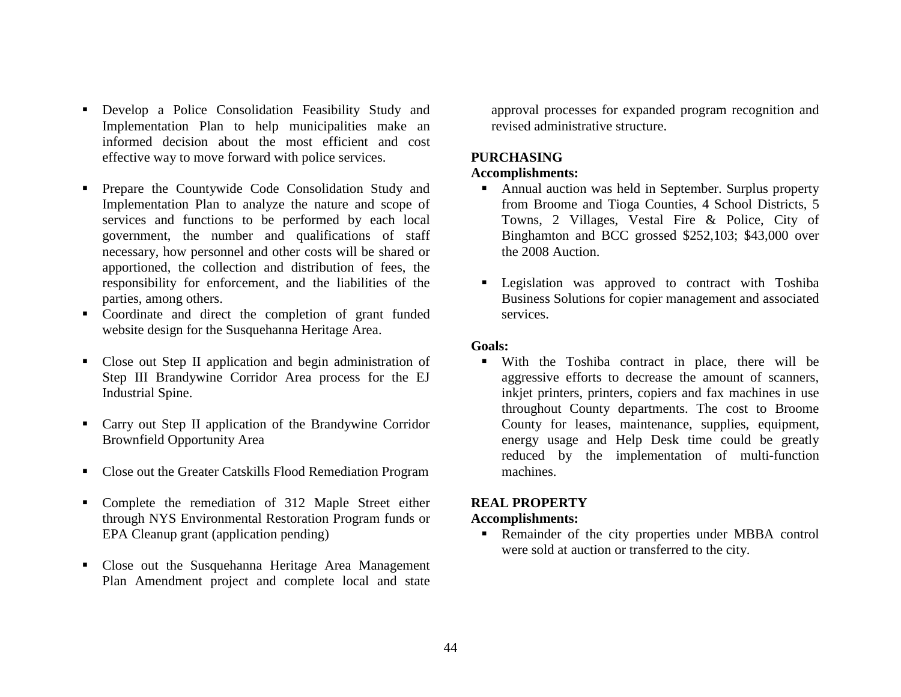- Develop a Police Consolidation Feasibility Study and Implementation Plan to help municipalities make an informed decision about the most efficient and cost effective way to move forward with police services.
- **•** Prepare the Countywide Code Consolidation Study and Implementation Plan to analyze the nature and scope of services and functions to be performed by each local government, the number and qualifications of staff necessary, how personnel and other costs will be shared or apportioned, the collection and distribution of fees, the responsibility for enforcement, and the liabilities of the parties, among others.
- Coordinate and direct the completion of grant funded website design for the Susquehanna Heritage Area.
- Close out Step II application and begin administration of Step III Brandywine Corridor Area process for the EJ Industrial Spine.
- Carry out Step II application of the Brandywine Corridor Brownfield Opportunity Area
- Close out the Greater Catskills Flood Remediation Program
- Complete the remediation of 312 Maple Street either through NYS Environmental Restoration Program funds or EPA Cleanup grant (application pending)
- Close out the Susquehanna Heritage Area Management Plan Amendment project and complete local and state

approval processes for expanded program recognition and revised administrative structure.

## **PURCHASING**

## **Accomplishments:**

- Annual auction was held in September. Surplus property from Broome and Tioga Counties, 4 School Districts, 5 Towns, 2 Villages, Vestal Fire & Police, City of Binghamton and BCC grossed \$252,103; \$43,000 over the 2008 Auction.
- **Legislation** was approved to contract with Toshiba Business Solutions for copier management and associated services.

#### **Goals:**

 With the Toshiba contract in place, there will be aggressive efforts to decrease the amount of scanners, inkjet printers, printers, copiers and fax machines in use throughout County departments. The cost to Broome County for leases, maintenance, supplies, equipment, energy usage and Help Desk time could be greatly reduced by the implementation of multi-function machines.

## **REAL PROPERTY**

## **Accomplishments:**

**Remainder of the city properties under MBBA control** were sold at auction or transferred to the city.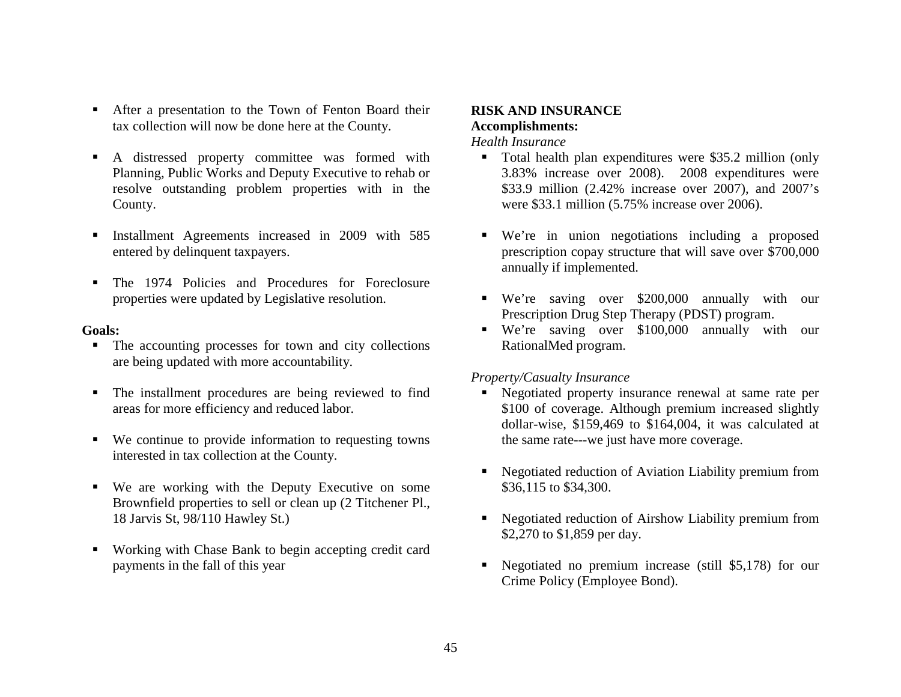- **After a presentation to the Town of Fenton Board their** tax collection will now be done here at the County.
- п A distressed property committee was formed with Planning, Public Works and Deputy Executive to rehab or resolve outstanding problem properties with in the County.
- $\blacksquare$  Installment Agreements increased in 2009 with 585 entered by delinquent taxpayers.
- $\blacksquare$  The 1974 Policies and Procedures for Foreclosure properties were updated by Legislative resolution.

#### **Goals:**

- The accounting processes for town and city collections are being updated with more accountability.
- Ξ The installment procedures are being reviewed to find areas for more efficiency and reduced labor.
- We continue to provide information to requesting towns interested in tax collection at the County.
- We are working with the Deputy Executive on some Brownfield properties to sell or clean up (2 Titchener Pl., 18 Jarvis St, 98/110 Hawley St.)
- Working with Chase Bank to begin accepting credit card payments in the fall of this year

## **RISK AND INSURANCE Accomplishments:**

#### *Health Insurance*

- Total health plan expenditures were \$35.2 million (only 3.83% increase over 2008). 2008 expenditures were \$33.9 million (2.42% increase over 2007), and 2007's were \$33.1 million (5.75% increase over 2006).
- We're in union negotiations including a proposed prescription copay structure that will save over \$700,000 annually if implemented.
- We're saving over \$200,000 annually with our Prescription Drug Step Therapy (PDST) program.
- We're saving over \$100,000 annually with our RationalMed program.

#### *Property/Casualty Insurance*

- Negotiated property insurance renewal at same rate per \$100 of coverage. Although premium increased slightly dollar-wise, \$159,469 to \$164,004, it was calculated at the same rate---we just have more coverage.
- Г Negotiated reduction of Aviation Liability premium from \$36,115 to \$34,300.
- $\blacksquare$  Negotiated reduction of Airshow Liability premium from \$2,270 to \$1,859 per day.
- $\blacksquare$  Negotiated no premium increase (still \$5,178) for our Crime Policy (Employee Bond).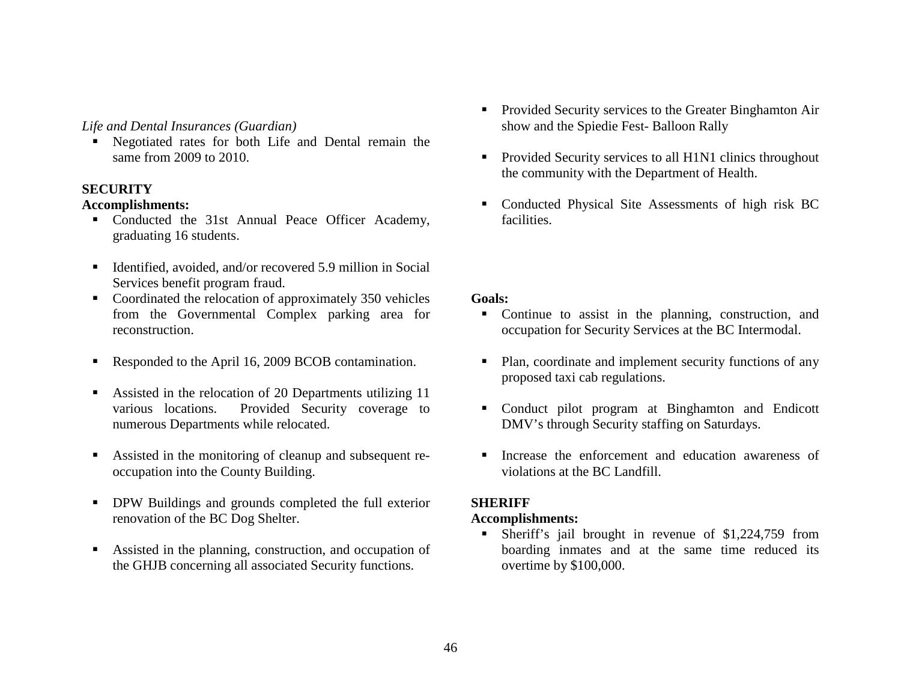## *Life and Dental Insurances (Guardian)*

 Negotiated rates for both Life and Dental remain the same from 2009 to 2010.

## **SECURITY**

## **Accomplishments:**

- Conducted the 31st Annual Peace Officer Academy, graduating 16 students.
- Identified, avoided, and/or recovered 5.9 million in Social Services benefit program fraud.
- Coordinated the relocation of approximately 350 vehicles from the Governmental Complex parking area for reconstruction.
- Responded to the April 16, 2009 BCOB contamination.
- Assisted in the relocation of 20 Departments utilizing 11 various locations. Provided Security coverage to numerous Departments while relocated.
- Assisted in the monitoring of cleanup and subsequent reoccupation into the County Building.
- $\blacksquare$  DPW Buildings and grounds completed the full exterior renovation of the BC Dog Shelter.
- Assisted in the planning, construction, and occupation of the GHJB concerning all associated Security functions.
- $\blacksquare$  Provided Security services to the Greater Binghamton Air show and the Spiedie Fest- Balloon Rally
- Г Provided Security services to all H1N1 clinics throughout the community with the Department of Health.
- Г Conducted Physical Site Assessments of high risk BC facilities.

## **Goals:**

- Continue to assist in the planning, construction, and occupation for Security Services at the BC Intermodal.
- Plan, coordinate and implement security functions of any proposed taxi cab regulations.
- Conduct pilot program at Binghamton and Endicott DMV's through Security staffing on Saturdays.
- Increase the enforcement and education awareness of violations at the BC Landfill.

## **SHERIFF**

## **Accomplishments:**

 Sheriff's jail brought in revenue of \$1,224,759 from boarding inmates and at the same time reduced its overtime by \$100,000.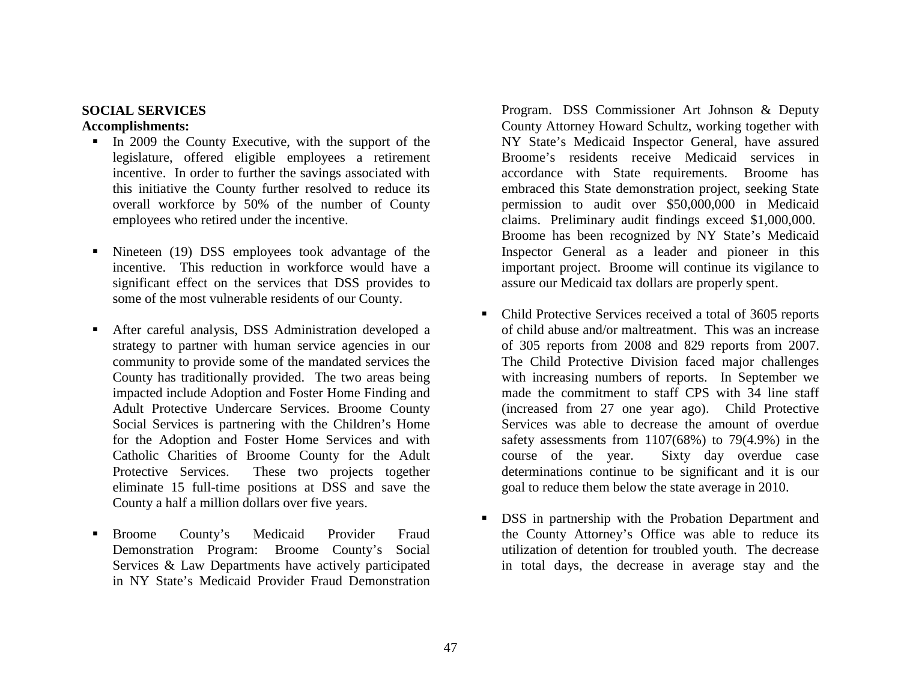## **SOCIAL SERVICES**

#### **Accomplishments:**

- In 2009 the County Executive, with the support of the legislature, offered eligible employees a retirement incentive. In order to further the savings associated with this initiative the County further resolved to reduce its overall workforce by 50% of the number of County employees who retired under the incentive.
- Г Nineteen (19) DSS employees took advantage of the incentive. This reduction in workforce would have a significant effect on the services that DSS provides to some of the most vulnerable residents of our County.
- Г After careful analysis, DSS Administration developed a strategy to partner with human service agencies in our community to provide some of the mandated services the County has traditionally provided. The two areas being impacted include Adoption and Foster Home Finding and Adult Protective Undercare Services. Broome County Social Services is partnering with the Children's Home for the Adoption and Foster Home Services and with Catholic Charities of Broome County for the Adult Protective Services. These two projects together eliminate 15 full-time positions at DSS and save the County a half a million dollars over five years.
- Г Broome County's Medicaid Provider Fraud Demonstration Program: Broome County's Social Services & Law Departments have actively participated in NY State's Medicaid Provider Fraud Demonstration

Program. DSS Commissioner Art Johnson & Deputy County Attorney Howard Schultz, working together with NY State's Medicaid Inspector General, have assured Broome's residents receive Medicaid services in accordance with State requirements. Broome has embraced this State demonstration project, seeking State permission to audit over \$50,000,000 in Medicaid claims. Preliminary audit findings exceed \$1,000,000. Broome has been recognized by NY State's Medicaid Inspector General as a leader and pioneer in this important project. Broome will continue its vigilance to assure our Medicaid tax dollars are properly spent.

- Г Child Protective Services received a total of 3605 reports of child abuse and/or maltreatment. This was an increase of 305 reports from 2008 and 829 reports from 2007. The Child Protective Division faced major challenges with increasing numbers of reports. In September we made the commitment to staff CPS with 34 line staff (increased from 27 one year ago). Child Protective Services was able to decrease the amount of overdue safety assessments from 1107(68%) to 79(4.9%) in the course of the year. Sixty day overdue case determinations continue to be significant and it is our goal to reduce them below the state average in 2010.
- $\blacksquare$  DSS in partnership with the Probation Department and the County Attorney's Office was able to reduce its utilization of detention for troubled youth. The decrease in total days, the decrease in average stay and the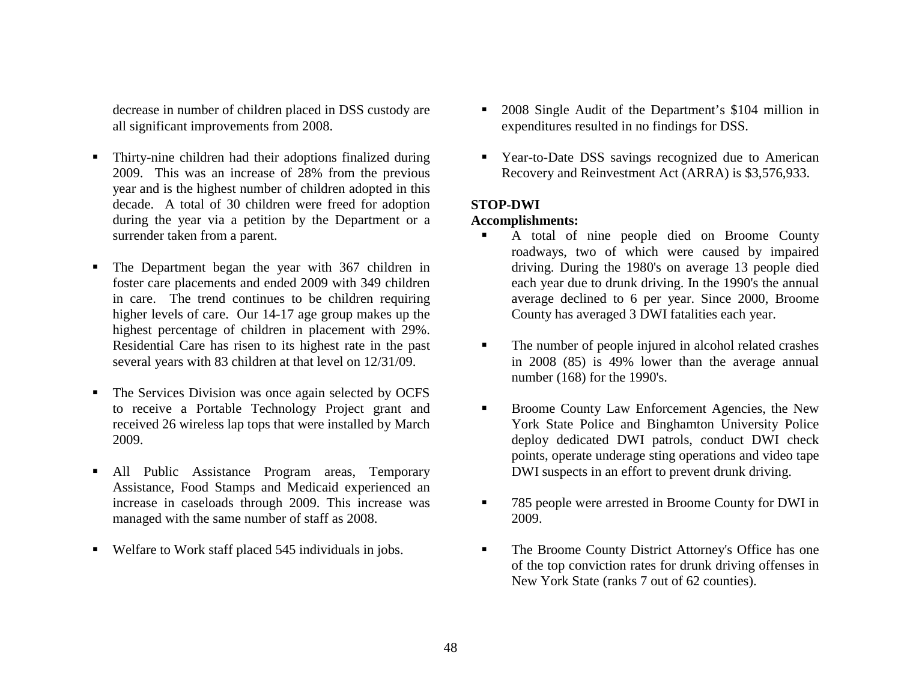decrease in number of children placed in DSS custody are all significant improvements from 2008.

- Thirty-nine children had their adoptions finalized during 2009. This was an increase of 28% from the previous year and is the highest number of children adopted in this decade. A total of 30 children were freed for adoption during the year via a petition by the Department or a surrender taken from a parent.
- Г The Department began the year with 367 children in foster care placements and ended 2009 with 349 children in care. The trend continues to be children requiring higher levels of care. Our 14-17 age group makes up the highest percentage of children in placement with 29%. Residential Care has risen to its highest rate in the past several years with 83 children at that level on 12/31/09.
- п The Services Division was once again selected by OCFS to receive a Portable Technology Project grant and received 26 wireless lap tops that were installed by March 2009.
- $\blacksquare$  All Public Assistance Program areas, Temporary Assistance, Food Stamps and Medicaid experienced an increase in caseloads through 2009. This increase was managed with the same number of staff as 2008.
- Welfare to Work staff placed 545 individuals in jobs.
- Г 2008 Single Audit of the Department's \$104 million in expenditures resulted in no findings for DSS.
- Year-to-Date DSS savings recognized due to American Recovery and Reinvestment Act (ARRA) is \$3,576,933.

## **STOP-DWI**

#### **Accomplishments:**

- Г A total of nine people died on Broome County roadways, two of which were caused by impaired driving. During the 1980's on average 13 people died each year due to drunk driving. In the 1990's the annual average declined to 6 per year. Since 2000, Broome County has averaged 3 DWI fatalities each year.
- $\blacksquare$  The number of people injured in alcohol related crashes in 2008 (85) is 49% lower than the average annual number (168) for the 1990's.
- Broome County Law Enforcement Agencies, the New York State Police and Binghamton University Police deploy dedicated DWI patrols, conduct DWI check points, operate underage sting operations and video tape DWI suspects in an effort to prevent drunk driving.
- 785 people were arrested in Broome County for DWI in 2009.
- Г The Broome County District Attorney's Office has one of the top conviction rates for drunk driving offenses in New York State (ranks 7 out of 62 counties).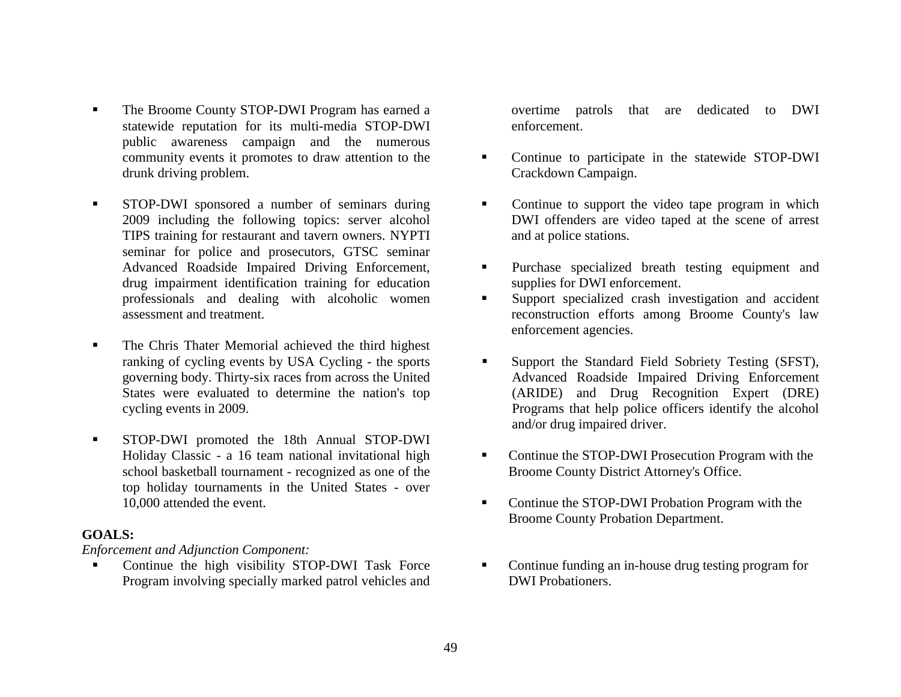- Г The Broome County STOP-DWI Program has earned a statewide reputation for its multi-media STOP-DWI public awareness campaign and the numerous community events it promotes to draw attention to the drunk driving problem.
- $\blacksquare$  STOP-DWI sponsored a number of seminars during 2009 including the following topics: server alcohol TIPS training for restaurant and tavern owners. NYPTI seminar for police and prosecutors, GTSC seminar Advanced Roadside Impaired Driving Enforcement, drug impairment identification training for education professionals and dealing with alcoholic women assessment and treatment.
- $\blacksquare$  The Chris Thater Memorial achieved the third highest ranking of cycling events by USA Cycling - the sports governing body. Thirty-six races from across the United States were evaluated to determine the nation's top cycling events in 2009.
- $\blacksquare$  STOP-DWI promoted the 18th Annual STOP-DWI Holiday Classic - a 16 team national invitational high school basketball tournament - recognized as one of the top holiday tournaments in the United States - over 10,000 attended the event.

#### **GOALS:**

*Enforcement and Adjunction Component:* 

 Continue the high visibility STOP-DWI Task Force Program involving specially marked patrol vehicles and overtime patrols that are dedicated to DWI enforcement.

- $\blacksquare$  Continue to participate in the statewide STOP-DWI Crackdown Campaign.
- Continue to support the video tape program in which DWI offenders are video taped at the scene of arrest and at police stations.
- **Purchase** specialized breath testing equipment and supplies for DWI enforcement.
- Support specialized crash investigation and accident reconstruction efforts among Broome County's law enforcement agencies.
- $\blacksquare$  Support the Standard Field Sobriety Testing (SFST), Advanced Roadside Impaired Driving Enforcement (ARIDE) and Drug Recognition Expert (DRE) Programs that help police officers identify the alcohol and/or drug impaired driver.
- Continue the STOP-DWI Prosecution Program with the Broome County District Attorney's Office.
- Continue the STOP-DWI Probation Program with the Broome County Probation Department.
- Continue funding an in-house drug testing program for DWI Probationers.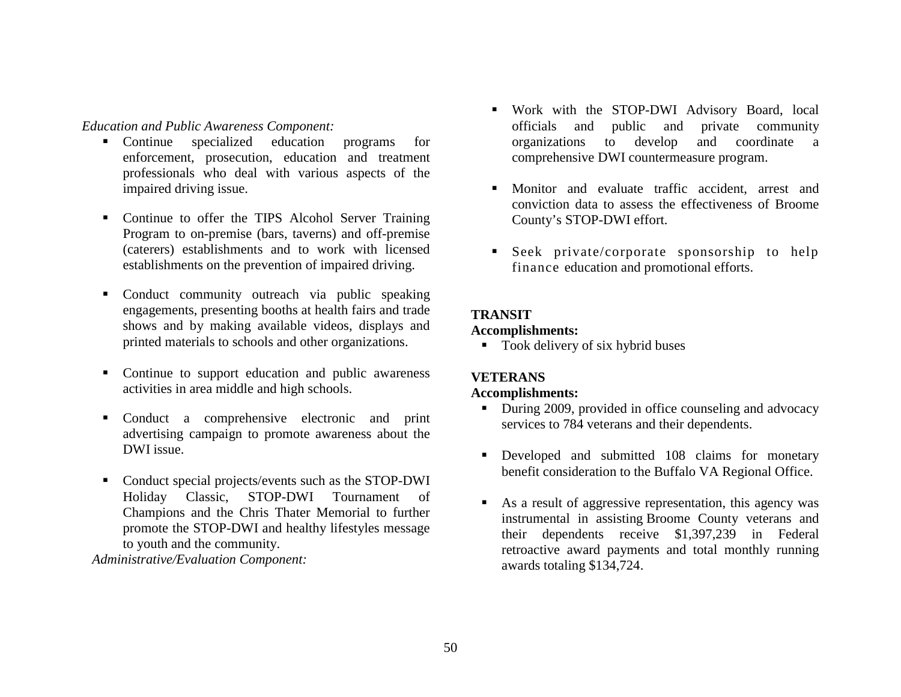*Education and Public Awareness Component:* 

- Continue specialized education programs for enforcement, prosecution, education and treatment professionals who deal with various aspects of the impaired driving issue.
- Continue to offer the TIPS Alcohol Server Training Program to on-premise (bars, taverns) and off-premise (caterers) establishments and to work with licensed establishments on the prevention of impaired driving.
- Conduct community outreach via public speaking engagements, presenting booths at health fairs and trade shows and by making available videos, displays and printed materials to schools and other organizations.
- Continue to support education and public awareness activities in area middle and high schools.
- Conduct a comprehensive electronic and print advertising campaign to promote awareness about the DWI issue.
- Conduct special projects/events such as the STOP-DWI Holiday Classic, STOP-DWI Tournament of Champions and the Chris Thater Memorial to further promote the STOP-DWI and healthy lifestyles message to youth and the community.

*Administrative/Evaluation Component:* 

- Work with the STOP-DWI Advisory Board, local officials and public and private community organizations to develop and coordinate a comprehensive DWI countermeasure program.
- Monitor and evaluate traffic accident, arrest and conviction data to assess the effectiveness of Broome County's STOP-DWI effort.
- Seek private/corporate sponsorship to help finance education and promotional efforts.

## **TRANSIT**

## **Accomplishments:**

■ Took delivery of six hybrid buses

## **VETERANS**

## **Accomplishments:**

- During 2009, provided in office counseling and advocacy services to 784 veterans and their dependents.
- **Developed and submitted 108 claims for monetary** benefit consideration to the Buffalo VA Regional Office.
- $\blacksquare$  As a result of aggressive representation, this agency was instrumental in assisting Broome County veterans and their dependents receive \$1,397,239 in Federal retroactive award payments and total monthly running awards totaling \$134,724.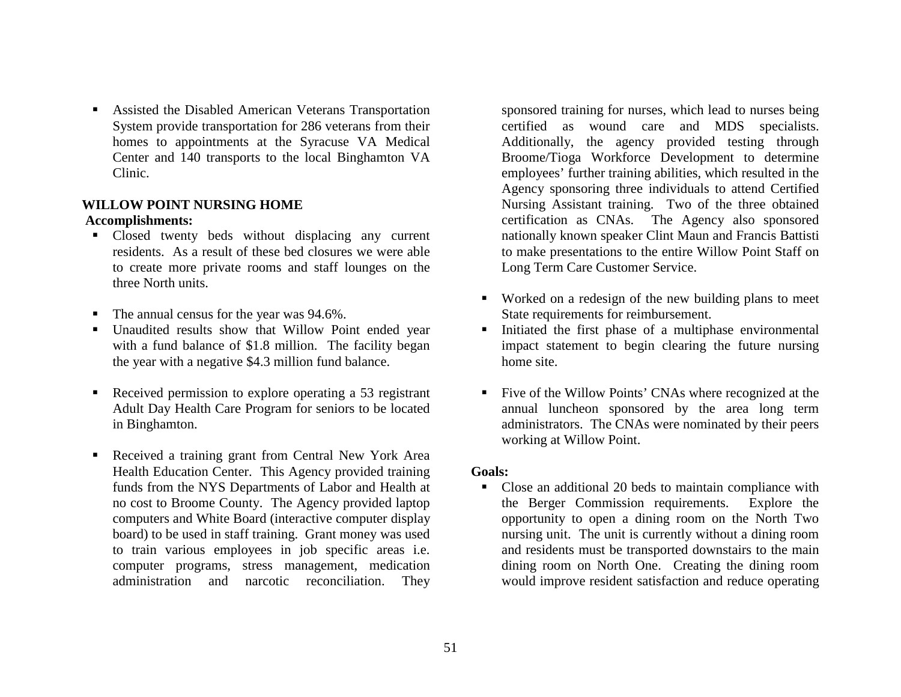Assisted the Disabled American Veterans Transportation System provide transportation for 286 veterans from their homes to appointments at the Syracuse VA Medical Center and 140 transports to the local Binghamton VA Clinic.

#### **WILLOW POINT NURSING HOME Accomplishments:**

- Closed twenty beds without displacing any current residents. As a result of these bed closures we were able to create more private rooms and staff lounges on the three North units.
- The annual census for the year was 94.6%.
- Unaudited results show that Willow Point ended year with a fund balance of \$1.8 million. The facility began the year with a negative \$4.3 million fund balance.
- п Received permission to explore operating a 53 registrant Adult Day Health Care Program for seniors to be located in Binghamton.
- Received a training grant from Central New York Area Health Education Center. This Agency provided training funds from the NYS Departments of Labor and Health at no cost to Broome County. The Agency provided laptop computers and White Board (interactive computer display board) to be used in staff training. Grant money was used to train various employees in job specific areas i.e. computer programs, stress management, medication administration and narcotic reconciliation. They

sponsored training for nurses, which lead to nurses being certified as wound care and MDS specialists. Additionally, the agency provided testing through Broome/Tioga Workforce Development to determine employees' further training abilities, which resulted in the Agency sponsoring three individuals to attend Certified Nursing Assistant training. Two of the three obtained certification as CNAs. The Agency also sponsored nationally known speaker Clint Maun and Francis Battisti to make presentations to the entire Willow Point Staff on Long Term Care Customer Service.

- Worked on a redesign of the new building plans to meet State requirements for reimbursement.
- $\blacksquare$  Initiated the first phase of a multiphase environmental impact statement to begin clearing the future nursing home site.
- Five of the Willow Points' CNAs where recognized at the annual luncheon sponsored by the area long term administrators. The CNAs were nominated by their peers working at Willow Point.

#### **Goals:**

• Close an additional 20 beds to maintain compliance with the Berger Commission requirements. Explore the opportunity to open a dining room on the North Two nursing unit. The unit is currently without a dining room and residents must be transported downstairs to the main dining room on North One. Creating the dining room would improve resident satisfaction and reduce operating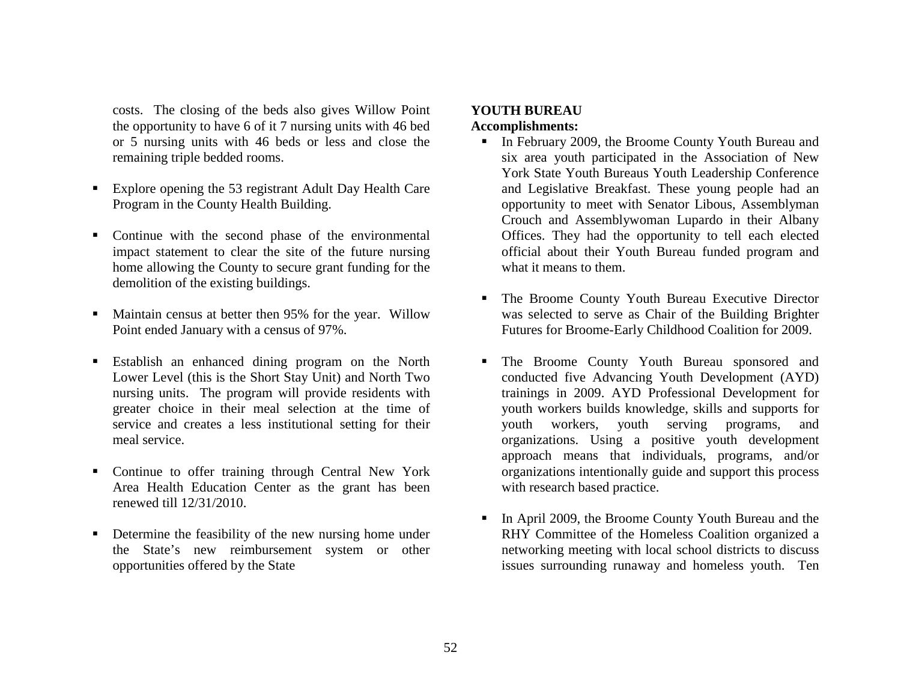costs. The closing of the beds also gives Willow Point the opportunity to have 6 of it 7 nursing units with 46 bed or 5 nursing units with 46 beds or less and close the remaining triple bedded rooms.

- $\blacksquare$  Explore opening the 53 registrant Adult Day Health Care Program in the County Health Building.
- Continue with the second phase of the environmental impact statement to clear the site of the future nursing home allowing the County to secure grant funding for the demolition of the existing buildings.
- Maintain census at better then 95% for the year. Willow Point ended January with a census of 97%.
- Establish an enhanced dining program on the North Lower Level (this is the Short Stay Unit) and North Two nursing units. The program will provide residents with greater choice in their meal selection at the time of service and creates a less institutional setting for their meal service.
- **Continue to offer training through Central New York** Area Health Education Center as the grant has been renewed till 12/31/2010.
- Г Determine the feasibility of the new nursing home under the State's new reimbursement system or other opportunities offered by the State

# **YOUTH BUREAU**

## **Accomplishments:**

- In February 2009, the Broome County Youth Bureau and six area youth participated in the Association of New York State Youth Bureaus Youth Leadership Conference and Legislative Breakfast. These young people had an opportunity to meet with Senator Libous, Assemblyman Crouch and Assemblywoman Lupardo in their Albany Offices. They had the opportunity to tell each elected official about their Youth Bureau funded program and what it means to them.
- The Broome County Youth Bureau Executive Director was selected to serve as Chair of the Building Brighter Futures for Broome-Early Childhood Coalition for 2009.
- The Broome County Youth Bureau sponsored and conducted five Advancing Youth Development (AYD) trainings in 2009. AYD Professional Development for youth workers builds knowledge, skills and supports for youth workers, youth serving programs, and organizations. Using a positive youth development approach means that individuals, programs, and/or organizations intentionally guide and support this process with research based practice.
- Г In April 2009, the Broome County Youth Bureau and the RHY Committee of the Homeless Coalition organized a networking meeting with local school districts to discuss issues surrounding runaway and homeless youth. Ten